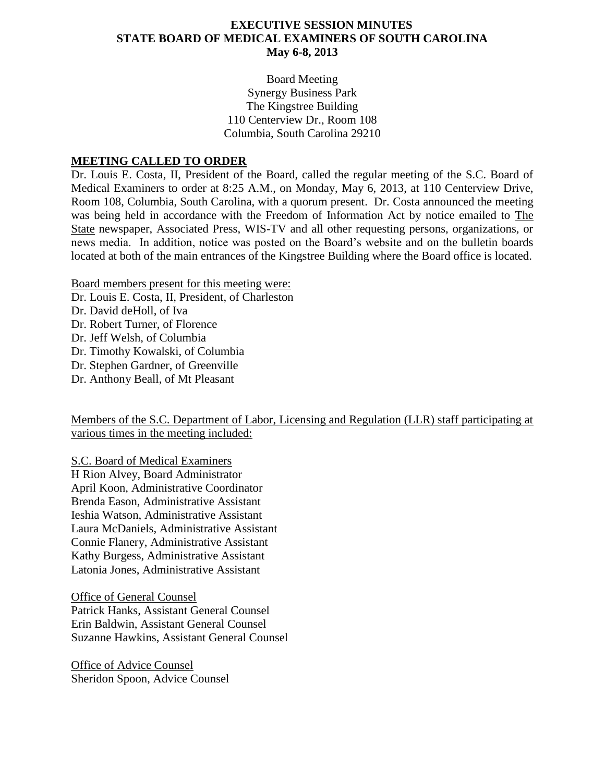#### **EXECUTIVE SESSION MINUTES STATE BOARD OF MEDICAL EXAMINERS OF SOUTH CAROLINA May 6-8, 2013**

Board Meeting Synergy Business Park The Kingstree Building 110 Centerview Dr., Room 108 Columbia, South Carolina 29210

#### **MEETING CALLED TO ORDER**

Dr. Louis E. Costa, II, President of the Board, called the regular meeting of the S.C. Board of Medical Examiners to order at 8:25 A.M., on Monday, May 6, 2013, at 110 Centerview Drive, Room 108, Columbia, South Carolina, with a quorum present. Dr. Costa announced the meeting was being held in accordance with the Freedom of Information Act by notice emailed to The State newspaper, Associated Press, WIS-TV and all other requesting persons, organizations, or news media. In addition, notice was posted on the Board's website and on the bulletin boards located at both of the main entrances of the Kingstree Building where the Board office is located.

Board members present for this meeting were:

Dr. Louis E. Costa, II, President, of Charleston

Dr. David deHoll, of Iva

Dr. Robert Turner, of Florence

Dr. Jeff Welsh, of Columbia

Dr. Timothy Kowalski, of Columbia

Dr. Stephen Gardner, of Greenville

Dr. Anthony Beall, of Mt Pleasant

Members of the S.C. Department of Labor, Licensing and Regulation (LLR) staff participating at various times in the meeting included:

S.C. Board of Medical Examiners

H Rion Alvey, Board Administrator April Koon, Administrative Coordinator Brenda Eason, Administrative Assistant Ieshia Watson, Administrative Assistant Laura McDaniels, Administrative Assistant Connie Flanery, Administrative Assistant Kathy Burgess, Administrative Assistant Latonia Jones, Administrative Assistant

Office of General Counsel Patrick Hanks, Assistant General Counsel Erin Baldwin, Assistant General Counsel Suzanne Hawkins, Assistant General Counsel

Office of Advice Counsel Sheridon Spoon, Advice Counsel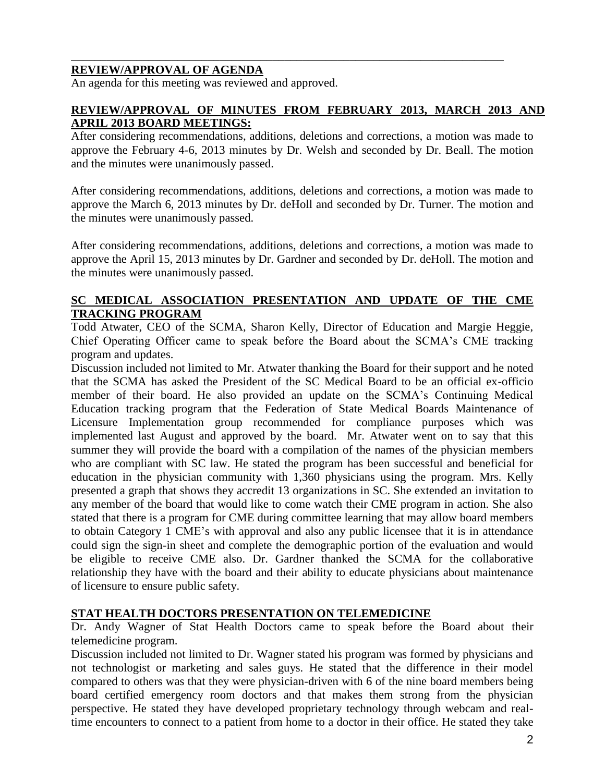## **REVIEW/APPROVAL OF AGENDA**

An agenda for this meeting was reviewed and approved.

#### **REVIEW/APPROVAL OF MINUTES FROM FEBRUARY 2013, MARCH 2013 AND APRIL 2013 BOARD MEETINGS:**

\_\_\_\_\_\_\_\_\_\_\_\_\_\_\_\_\_\_\_\_\_\_\_\_\_\_\_\_\_\_\_\_\_\_\_\_\_\_\_\_\_\_\_\_\_\_\_\_\_\_\_\_\_\_\_\_\_\_\_\_\_\_\_\_\_\_\_\_\_\_\_\_\_

After considering recommendations, additions, deletions and corrections, a motion was made to approve the February 4-6, 2013 minutes by Dr. Welsh and seconded by Dr. Beall. The motion and the minutes were unanimously passed.

After considering recommendations, additions, deletions and corrections, a motion was made to approve the March 6, 2013 minutes by Dr. deHoll and seconded by Dr. Turner. The motion and the minutes were unanimously passed.

After considering recommendations, additions, deletions and corrections, a motion was made to approve the April 15, 2013 minutes by Dr. Gardner and seconded by Dr. deHoll. The motion and the minutes were unanimously passed.

#### **SC MEDICAL ASSOCIATION PRESENTATION AND UPDATE OF THE CME TRACKING PROGRAM**

Todd Atwater, CEO of the SCMA, Sharon Kelly, Director of Education and Margie Heggie, Chief Operating Officer came to speak before the Board about the SCMA's CME tracking program and updates.

Discussion included not limited to Mr. Atwater thanking the Board for their support and he noted that the SCMA has asked the President of the SC Medical Board to be an official ex-officio member of their board. He also provided an update on the SCMA's Continuing Medical Education tracking program that the Federation of State Medical Boards Maintenance of Licensure Implementation group recommended for compliance purposes which was implemented last August and approved by the board. Mr. Atwater went on to say that this summer they will provide the board with a compilation of the names of the physician members who are compliant with SC law. He stated the program has been successful and beneficial for education in the physician community with 1,360 physicians using the program. Mrs. Kelly presented a graph that shows they accredit 13 organizations in SC. She extended an invitation to any member of the board that would like to come watch their CME program in action. She also stated that there is a program for CME during committee learning that may allow board members to obtain Category 1 CME's with approval and also any public licensee that it is in attendance could sign the sign-in sheet and complete the demographic portion of the evaluation and would be eligible to receive CME also. Dr. Gardner thanked the SCMA for the collaborative relationship they have with the board and their ability to educate physicians about maintenance of licensure to ensure public safety.

#### **STAT HEALTH DOCTORS PRESENTATION ON TELEMEDICINE**

Dr. Andy Wagner of Stat Health Doctors came to speak before the Board about their telemedicine program.

Discussion included not limited to Dr. Wagner stated his program was formed by physicians and not technologist or marketing and sales guys. He stated that the difference in their model compared to others was that they were physician-driven with 6 of the nine board members being board certified emergency room doctors and that makes them strong from the physician perspective. He stated they have developed proprietary technology through webcam and realtime encounters to connect to a patient from home to a doctor in their office. He stated they take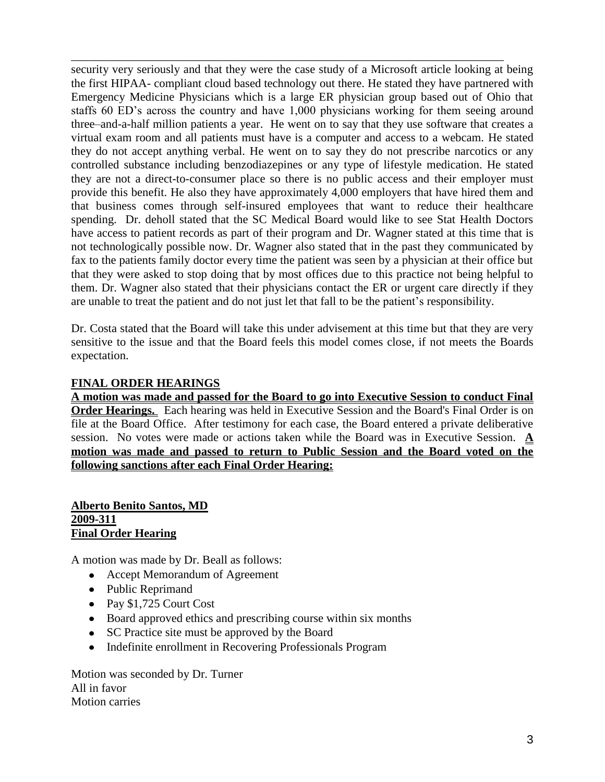security very seriously and that they were the case study of a Microsoft article looking at being the first HIPAA- compliant cloud based technology out there. He stated they have partnered with Emergency Medicine Physicians which is a large ER physician group based out of Ohio that staffs 60 ED's across the country and have 1,000 physicians working for them seeing around three–and-a-half million patients a year. He went on to say that they use software that creates a virtual exam room and all patients must have is a computer and access to a webcam. He stated they do not accept anything verbal. He went on to say they do not prescribe narcotics or any controlled substance including benzodiazepines or any type of lifestyle medication. He stated they are not a direct-to-consumer place so there is no public access and their employer must provide this benefit. He also they have approximately 4,000 employers that have hired them and that business comes through self-insured employees that want to reduce their healthcare spending. Dr. deholl stated that the SC Medical Board would like to see Stat Health Doctors have access to patient records as part of their program and Dr. Wagner stated at this time that is not technologically possible now. Dr. Wagner also stated that in the past they communicated by fax to the patients family doctor every time the patient was seen by a physician at their office but that they were asked to stop doing that by most offices due to this practice not being helpful to them. Dr. Wagner also stated that their physicians contact the ER or urgent care directly if they are unable to treat the patient and do not just let that fall to be the patient's responsibility.

\_\_\_\_\_\_\_\_\_\_\_\_\_\_\_\_\_\_\_\_\_\_\_\_\_\_\_\_\_\_\_\_\_\_\_\_\_\_\_\_\_\_\_\_\_\_\_\_\_\_\_\_\_\_\_\_\_\_\_\_\_\_\_\_\_\_\_\_\_\_\_\_\_

Dr. Costa stated that the Board will take this under advisement at this time but that they are very sensitive to the issue and that the Board feels this model comes close, if not meets the Boards expectation.

## **FINAL ORDER HEARINGS**

**A motion was made and passed for the Board to go into Executive Session to conduct Final Order Hearings.** Each hearing was held in Executive Session and the Board's Final Order is on file at the Board Office. After testimony for each case, the Board entered a private deliberative session. No votes were made or actions taken while the Board was in Executive Session. **A motion was made and passed to return to Public Session and the Board voted on the following sanctions after each Final Order Hearing:**

#### **Alberto Benito Santos, MD 2009-311 Final Order Hearing**

A motion was made by Dr. Beall as follows:

- Accept Memorandum of Agreement
- Public Reprimand
- Pay \$1,725 Court Cost
- Board approved ethics and prescribing course within six months
- SC Practice site must be approved by the Board
- Indefinite enrollment in Recovering Professionals Program

Motion was seconded by Dr. Turner All in favor Motion carries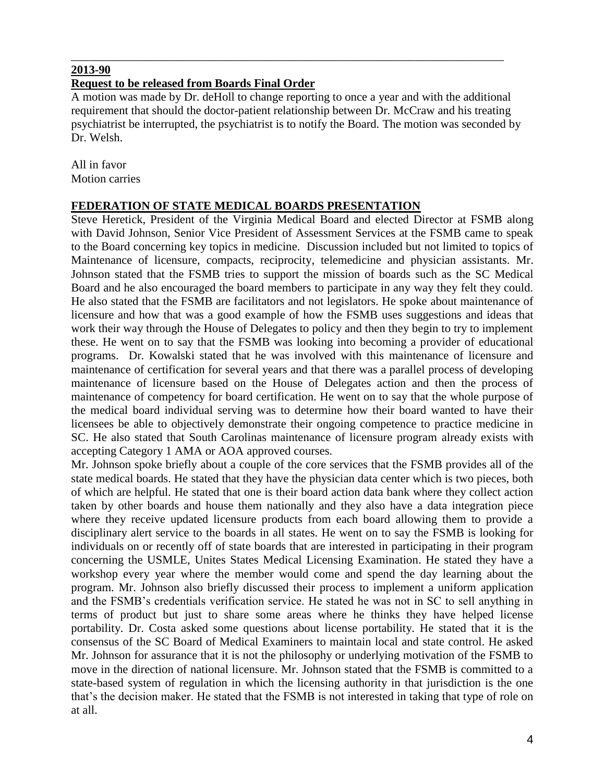#### **2013-90**

#### **Request to be released from Boards Final Order**

A motion was made by Dr. deHoll to change reporting to once a year and with the additional requirement that should the doctor-patient relationship between Dr. McCraw and his treating psychiatrist be interrupted, the psychiatrist is to notify the Board. The motion was seconded by Dr. Welsh.

\_\_\_\_\_\_\_\_\_\_\_\_\_\_\_\_\_\_\_\_\_\_\_\_\_\_\_\_\_\_\_\_\_\_\_\_\_\_\_\_\_\_\_\_\_\_\_\_\_\_\_\_\_\_\_\_\_\_\_\_\_\_\_\_\_\_\_\_\_\_\_\_\_

All in favor Motion carries

#### **FEDERATION OF STATE MEDICAL BOARDS PRESENTATION**

Steve Heretick, President of the Virginia Medical Board and elected Director at FSMB along with David Johnson, Senior Vice President of Assessment Services at the FSMB came to speak to the Board concerning key topics in medicine. Discussion included but not limited to topics of Maintenance of licensure, compacts, reciprocity, telemedicine and physician assistants. Mr. Johnson stated that the FSMB tries to support the mission of boards such as the SC Medical Board and he also encouraged the board members to participate in any way they felt they could. He also stated that the FSMB are facilitators and not legislators. He spoke about maintenance of licensure and how that was a good example of how the FSMB uses suggestions and ideas that work their way through the House of Delegates to policy and then they begin to try to implement these. He went on to say that the FSMB was looking into becoming a provider of educational programs. Dr. Kowalski stated that he was involved with this maintenance of licensure and maintenance of certification for several years and that there was a parallel process of developing maintenance of licensure based on the House of Delegates action and then the process of maintenance of competency for board certification. He went on to say that the whole purpose of the medical board individual serving was to determine how their board wanted to have their licensees be able to objectively demonstrate their ongoing competence to practice medicine in SC. He also stated that South Carolinas maintenance of licensure program already exists with accepting Category 1 AMA or AOA approved courses.

Mr. Johnson spoke briefly about a couple of the core services that the FSMB provides all of the state medical boards. He stated that they have the physician data center which is two pieces, both of which are helpful. He stated that one is their board action data bank where they collect action taken by other boards and house them nationally and they also have a data integration piece where they receive updated licensure products from each board allowing them to provide a disciplinary alert service to the boards in all states. He went on to say the FSMB is looking for individuals on or recently off of state boards that are interested in participating in their program concerning the USMLE, Unites States Medical Licensing Examination. He stated they have a workshop every year where the member would come and spend the day learning about the program. Mr. Johnson also briefly discussed their process to implement a uniform application and the FSMB's credentials verification service. He stated he was not in SC to sell anything in terms of product but just to share some areas where he thinks they have helped license portability. Dr. Costa asked some questions about license portability. He stated that it is the consensus of the SC Board of Medical Examiners to maintain local and state control. He asked Mr. Johnson for assurance that it is not the philosophy or underlying motivation of the FSMB to move in the direction of national licensure. Mr. Johnson stated that the FSMB is committed to a state-based system of regulation in which the licensing authority in that jurisdiction is the one that's the decision maker. He stated that the FSMB is not interested in taking that type of role on at all.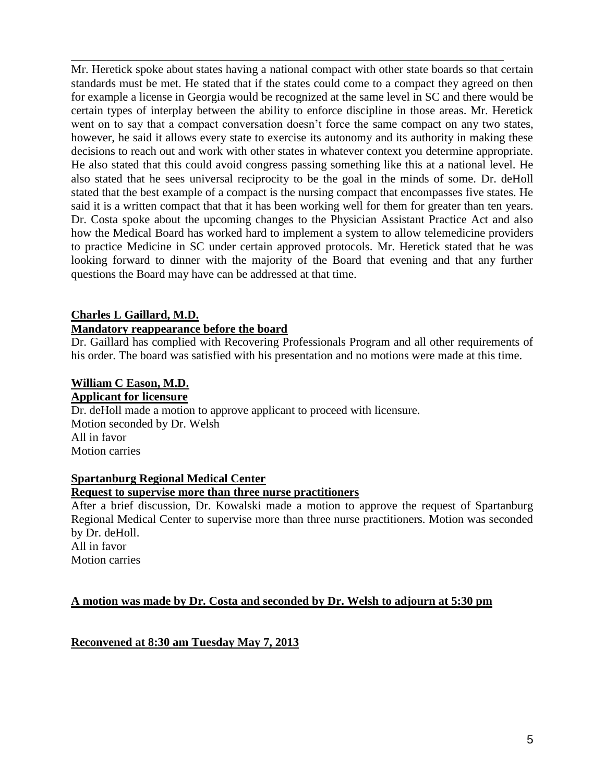Mr. Heretick spoke about states having a national compact with other state boards so that certain standards must be met. He stated that if the states could come to a compact they agreed on then for example a license in Georgia would be recognized at the same level in SC and there would be certain types of interplay between the ability to enforce discipline in those areas. Mr. Heretick went on to say that a compact conversation doesn't force the same compact on any two states, however, he said it allows every state to exercise its autonomy and its authority in making these decisions to reach out and work with other states in whatever context you determine appropriate. He also stated that this could avoid congress passing something like this at a national level. He also stated that he sees universal reciprocity to be the goal in the minds of some. Dr. deHoll stated that the best example of a compact is the nursing compact that encompasses five states. He said it is a written compact that that it has been working well for them for greater than ten years. Dr. Costa spoke about the upcoming changes to the Physician Assistant Practice Act and also how the Medical Board has worked hard to implement a system to allow telemedicine providers to practice Medicine in SC under certain approved protocols. Mr. Heretick stated that he was looking forward to dinner with the majority of the Board that evening and that any further questions the Board may have can be addressed at that time.

\_\_\_\_\_\_\_\_\_\_\_\_\_\_\_\_\_\_\_\_\_\_\_\_\_\_\_\_\_\_\_\_\_\_\_\_\_\_\_\_\_\_\_\_\_\_\_\_\_\_\_\_\_\_\_\_\_\_\_\_\_\_\_\_\_\_\_\_\_\_\_\_\_

#### **Charles L Gaillard, M.D. Mandatory reappearance before the board**

Dr. Gaillard has complied with Recovering Professionals Program and all other requirements of his order. The board was satisfied with his presentation and no motions were made at this time.

#### **William C Eason, M.D. Applicant for licensure**

Dr. deHoll made a motion to approve applicant to proceed with licensure. Motion seconded by Dr. Welsh All in favor Motion carries

#### **Spartanburg Regional Medical Center**

#### **Request to supervise more than three nurse practitioners**

After a brief discussion, Dr. Kowalski made a motion to approve the request of Spartanburg Regional Medical Center to supervise more than three nurse practitioners. Motion was seconded by Dr. deHoll. All in favor

Motion carries

#### **A motion was made by Dr. Costa and seconded by Dr. Welsh to adjourn at 5:30 pm**

**Reconvened at 8:30 am Tuesday May 7, 2013**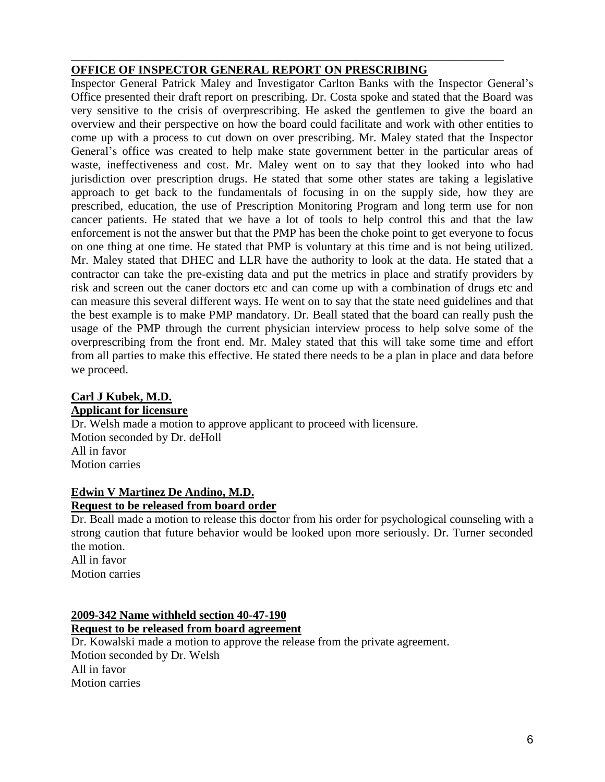## **OFFICE OF INSPECTOR GENERAL REPORT ON PRESCRIBING**

\_\_\_\_\_\_\_\_\_\_\_\_\_\_\_\_\_\_\_\_\_\_\_\_\_\_\_\_\_\_\_\_\_\_\_\_\_\_\_\_\_\_\_\_\_\_\_\_\_\_\_\_\_\_\_\_\_\_\_\_\_\_\_\_\_\_\_\_\_\_\_\_\_

Inspector General Patrick Maley and Investigator Carlton Banks with the Inspector General's Office presented their draft report on prescribing. Dr. Costa spoke and stated that the Board was very sensitive to the crisis of overprescribing. He asked the gentlemen to give the board an overview and their perspective on how the board could facilitate and work with other entities to come up with a process to cut down on over prescribing. Mr. Maley stated that the Inspector General's office was created to help make state government better in the particular areas of waste, ineffectiveness and cost. Mr. Maley went on to say that they looked into who had jurisdiction over prescription drugs. He stated that some other states are taking a legislative approach to get back to the fundamentals of focusing in on the supply side, how they are prescribed, education, the use of Prescription Monitoring Program and long term use for non cancer patients. He stated that we have a lot of tools to help control this and that the law enforcement is not the answer but that the PMP has been the choke point to get everyone to focus on one thing at one time. He stated that PMP is voluntary at this time and is not being utilized. Mr. Maley stated that DHEC and LLR have the authority to look at the data. He stated that a contractor can take the pre-existing data and put the metrics in place and stratify providers by risk and screen out the caner doctors etc and can come up with a combination of drugs etc and can measure this several different ways. He went on to say that the state need guidelines and that the best example is to make PMP mandatory. Dr. Beall stated that the board can really push the usage of the PMP through the current physician interview process to help solve some of the overprescribing from the front end. Mr. Maley stated that this will take some time and effort from all parties to make this effective. He stated there needs to be a plan in place and data before we proceed.

#### **Carl J Kubek, M.D. Applicant for licensure**

Dr. Welsh made a motion to approve applicant to proceed with licensure. Motion seconded by Dr. deHoll All in favor Motion carries

#### **Edwin V Martinez De Andino, M.D. Request to be released from board order**

Dr. Beall made a motion to release this doctor from his order for psychological counseling with a strong caution that future behavior would be looked upon more seriously. Dr. Turner seconded

the motion. All in favor Motion carries

## **2009-342 Name withheld section 40-47-190 Request to be released from board agreement**

Dr. Kowalski made a motion to approve the release from the private agreement. Motion seconded by Dr. Welsh All in favor Motion carries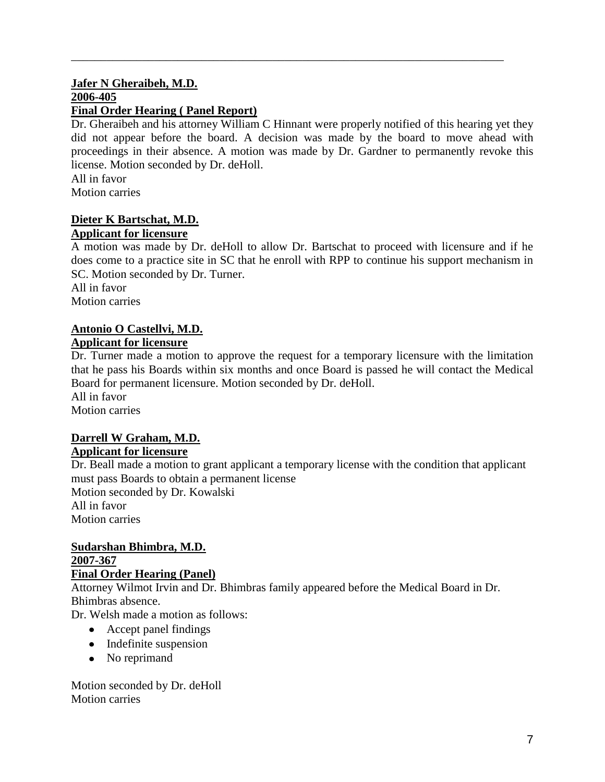#### **Jafer N Gheraibeh, M.D. 2006-405 Final Order Hearing ( Panel Report)**

Dr. Gheraibeh and his attorney William C Hinnant were properly notified of this hearing yet they did not appear before the board. A decision was made by the board to move ahead with proceedings in their absence. A motion was made by Dr. Gardner to permanently revoke this license. Motion seconded by Dr. deHoll.

\_\_\_\_\_\_\_\_\_\_\_\_\_\_\_\_\_\_\_\_\_\_\_\_\_\_\_\_\_\_\_\_\_\_\_\_\_\_\_\_\_\_\_\_\_\_\_\_\_\_\_\_\_\_\_\_\_\_\_\_\_\_\_\_\_\_\_\_\_\_\_\_\_

All in favor Motion carries

#### **Dieter K Bartschat, M.D. Applicant for licensure**

A motion was made by Dr. deHoll to allow Dr. Bartschat to proceed with licensure and if he does come to a practice site in SC that he enroll with RPP to continue his support mechanism in SC. Motion seconded by Dr. Turner.

All in favor Motion carries

# **Antonio O Castellvi, M.D.**

### **Applicant for licensure**

Dr. Turner made a motion to approve the request for a temporary licensure with the limitation that he pass his Boards within six months and once Board is passed he will contact the Medical Board for permanent licensure. Motion seconded by Dr. deHoll.

All in favor Motion carries

# **Darrell W Graham, M.D. Applicant for licensure**

Dr. Beall made a motion to grant applicant a temporary license with the condition that applicant must pass Boards to obtain a permanent license Motion seconded by Dr. Kowalski All in favor Motion carries

#### **Sudarshan Bhimbra, M.D. 2007-367 Final Order Hearing (Panel)**

Attorney Wilmot Irvin and Dr. Bhimbras family appeared before the Medical Board in Dr. Bhimbras absence.

Dr. Welsh made a motion as follows:

- Accept panel findings
- Indefinite suspension
- No reprimand

Motion seconded by Dr. deHoll Motion carries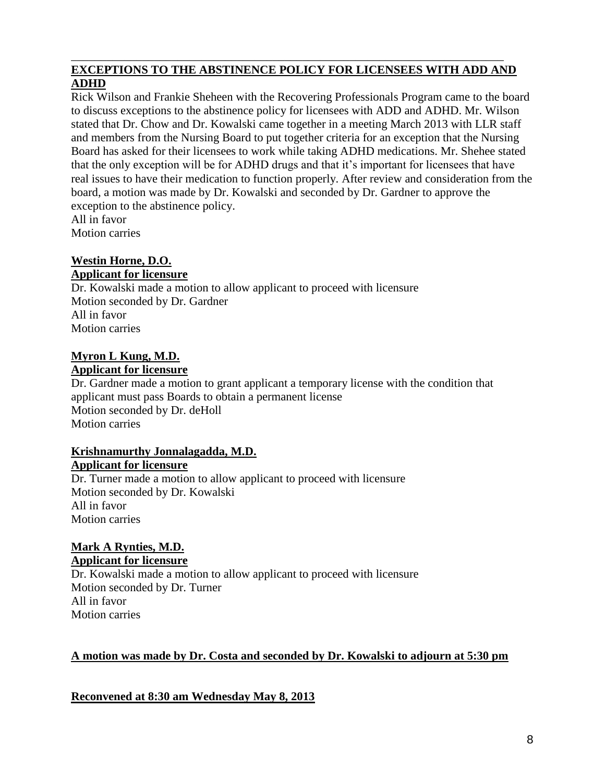#### **EXCEPTIONS TO THE ABSTINENCE POLICY FOR LICENSEES WITH ADD AND ADHD**

\_\_\_\_\_\_\_\_\_\_\_\_\_\_\_\_\_\_\_\_\_\_\_\_\_\_\_\_\_\_\_\_\_\_\_\_\_\_\_\_\_\_\_\_\_\_\_\_\_\_\_\_\_\_\_\_\_\_\_\_\_\_\_\_\_\_\_\_\_\_\_\_\_

Rick Wilson and Frankie Sheheen with the Recovering Professionals Program came to the board to discuss exceptions to the abstinence policy for licensees with ADD and ADHD. Mr. Wilson stated that Dr. Chow and Dr. Kowalski came together in a meeting March 2013 with LLR staff and members from the Nursing Board to put together criteria for an exception that the Nursing Board has asked for their licensees to work while taking ADHD medications. Mr. Shehee stated that the only exception will be for ADHD drugs and that it's important for licensees that have real issues to have their medication to function properly. After review and consideration from the board, a motion was made by Dr. Kowalski and seconded by Dr. Gardner to approve the exception to the abstinence policy. All in favor

Motion carries

# **Westin Horne, D.O.**

## **Applicant for licensure**

Dr. Kowalski made a motion to allow applicant to proceed with licensure Motion seconded by Dr. Gardner All in favor Motion carries

# **Myron L Kung, M.D.**

**Applicant for licensure**

Dr. Gardner made a motion to grant applicant a temporary license with the condition that applicant must pass Boards to obtain a permanent license Motion seconded by Dr. deHoll Motion carries

#### **Krishnamurthy Jonnalagadda, M.D. Applicant for licensure**

Dr. Turner made a motion to allow applicant to proceed with licensure Motion seconded by Dr. Kowalski All in favor Motion carries

## **Mark A Rynties, M.D. Applicant for licensure**

Dr. Kowalski made a motion to allow applicant to proceed with licensure Motion seconded by Dr. Turner All in favor Motion carries

# **A motion was made by Dr. Costa and seconded by Dr. Kowalski to adjourn at 5:30 pm**

**Reconvened at 8:30 am Wednesday May 8, 2013**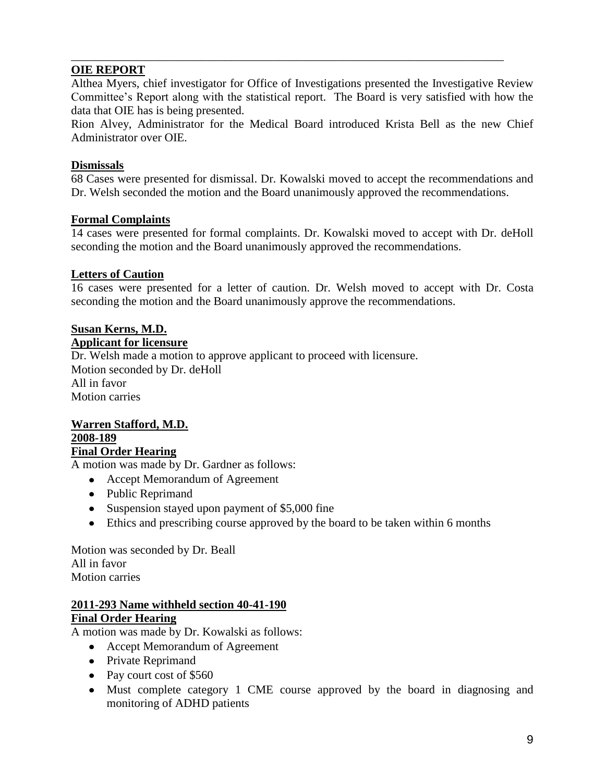## **OIE REPORT**

Althea Myers, chief investigator for Office of Investigations presented the Investigative Review Committee's Report along with the statistical report. The Board is very satisfied with how the data that OIE has is being presented.

\_\_\_\_\_\_\_\_\_\_\_\_\_\_\_\_\_\_\_\_\_\_\_\_\_\_\_\_\_\_\_\_\_\_\_\_\_\_\_\_\_\_\_\_\_\_\_\_\_\_\_\_\_\_\_\_\_\_\_\_\_\_\_\_\_\_\_\_\_\_\_\_\_

Rion Alvey, Administrator for the Medical Board introduced Krista Bell as the new Chief Administrator over OIE.

#### **Dismissals**

68 Cases were presented for dismissal. Dr. Kowalski moved to accept the recommendations and Dr. Welsh seconded the motion and the Board unanimously approved the recommendations.

#### **Formal Complaints**

14 cases were presented for formal complaints. Dr. Kowalski moved to accept with Dr. deHoll seconding the motion and the Board unanimously approved the recommendations.

#### **Letters of Caution**

16 cases were presented for a letter of caution. Dr. Welsh moved to accept with Dr. Costa seconding the motion and the Board unanimously approve the recommendations.

# **Susan Kerns, M.D.**

#### **Applicant for licensure**

Dr. Welsh made a motion to approve applicant to proceed with licensure. Motion seconded by Dr. deHoll All in favor Motion carries

#### **Warren Stafford, M.D. 2008-189 Final Order Hearing**

A motion was made by Dr. Gardner as follows:

- Accept Memorandum of Agreement
- Public Reprimand
- Suspension stayed upon payment of \$5,000 fine
- Ethics and prescribing course approved by the board to be taken within 6 months

Motion was seconded by Dr. Beall All in favor Motion carries

#### **2011-293 Name withheld section 40-41-190 Final Order Hearing**

A motion was made by Dr. Kowalski as follows:

- Accept Memorandum of Agreement
- Private Reprimand
- Pay court cost of \$560
- Must complete category 1 CME course approved by the board in diagnosing and monitoring of ADHD patients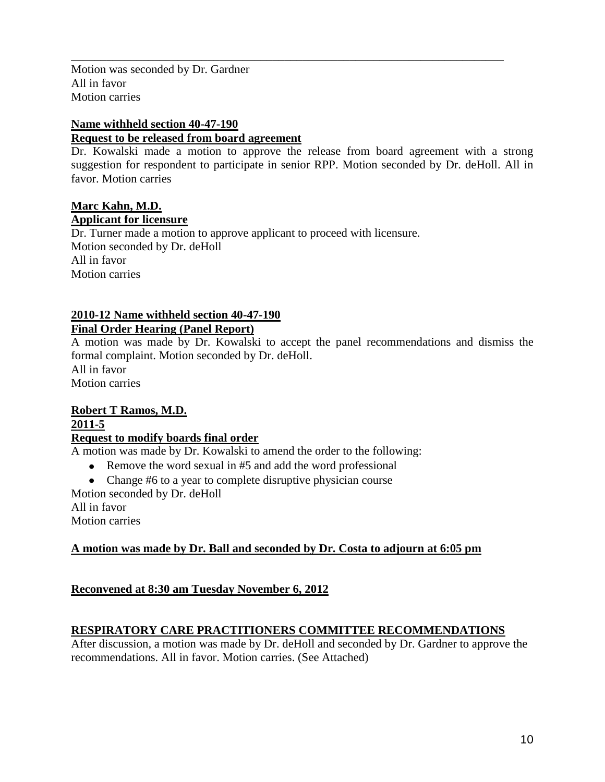Motion was seconded by Dr. Gardner All in favor Motion carries

### **Name withheld section 40-47-190**

#### **Request to be released from board agreement**

Dr. Kowalski made a motion to approve the release from board agreement with a strong suggestion for respondent to participate in senior RPP. Motion seconded by Dr. deHoll. All in favor. Motion carries

\_\_\_\_\_\_\_\_\_\_\_\_\_\_\_\_\_\_\_\_\_\_\_\_\_\_\_\_\_\_\_\_\_\_\_\_\_\_\_\_\_\_\_\_\_\_\_\_\_\_\_\_\_\_\_\_\_\_\_\_\_\_\_\_\_\_\_\_\_\_\_\_\_

#### **Marc Kahn, M.D. Applicant for licensure**

Dr. Turner made a motion to approve applicant to proceed with licensure. Motion seconded by Dr. deHoll All in favor Motion carries

# **2010-12 Name withheld section 40-47-190**

## **Final Order Hearing (Panel Report)**

A motion was made by Dr. Kowalski to accept the panel recommendations and dismiss the formal complaint. Motion seconded by Dr. deHoll. All in favor Motion carries

## **Robert T Ramos, M.D. 2011-5**

#### **Request to modify boards final order**

A motion was made by Dr. Kowalski to amend the order to the following:

- Remove the word sexual in #5 and add the word professional
- Change #6 to a year to complete disruptive physician course

Motion seconded by Dr. deHoll

All in favor

Motion carries

# **A motion was made by Dr. Ball and seconded by Dr. Costa to adjourn at 6:05 pm**

# **Reconvened at 8:30 am Tuesday November 6, 2012**

# **RESPIRATORY CARE PRACTITIONERS COMMITTEE RECOMMENDATIONS**

After discussion, a motion was made by Dr. deHoll and seconded by Dr. Gardner to approve the recommendations. All in favor. Motion carries. (See Attached)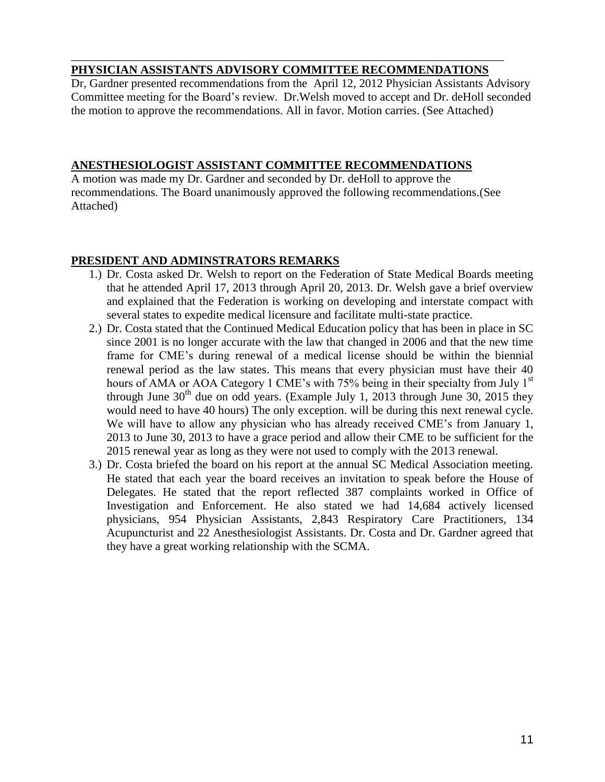#### \_\_\_\_\_\_\_\_\_\_\_\_\_\_\_\_\_\_\_\_\_\_\_\_\_\_\_\_\_\_\_\_\_\_\_\_\_\_\_\_\_\_\_\_\_\_\_\_\_\_\_\_\_\_\_\_\_\_\_\_\_\_\_\_\_\_\_\_\_\_\_\_\_ **PHYSICIAN ASSISTANTS ADVISORY COMMITTEE RECOMMENDATIONS**

Dr, Gardner presented recommendations from the April 12, 2012 Physician Assistants Advisory Committee meeting for the Board's review. Dr.Welsh moved to accept and Dr. deHoll seconded the motion to approve the recommendations. All in favor. Motion carries. (See Attached)

#### **ANESTHESIOLOGIST ASSISTANT COMMITTEE RECOMMENDATIONS**

A motion was made my Dr. Gardner and seconded by Dr. deHoll to approve the recommendations. The Board unanimously approved the following recommendations.(See Attached)

## **PRESIDENT AND ADMINSTRATORS REMARKS**

- 1.) Dr. Costa asked Dr. Welsh to report on the Federation of State Medical Boards meeting that he attended April 17, 2013 through April 20, 2013. Dr. Welsh gave a brief overview and explained that the Federation is working on developing and interstate compact with several states to expedite medical licensure and facilitate multi-state practice.
- 2.) Dr. Costa stated that the Continued Medical Education policy that has been in place in SC since 2001 is no longer accurate with the law that changed in 2006 and that the new time frame for CME's during renewal of a medical license should be within the biennial renewal period as the law states. This means that every physician must have their 40 hours of AMA or AOA Category 1 CME's with 75% being in their specialty from July  $1<sup>st</sup>$ through June  $30<sup>th</sup>$  due on odd years. (Example July 1, 2013 through June 30, 2015 they would need to have 40 hours) The only exception. will be during this next renewal cycle. We will have to allow any physician who has already received CME's from January 1, 2013 to June 30, 2013 to have a grace period and allow their CME to be sufficient for the 2015 renewal year as long as they were not used to comply with the 2013 renewal.
- 3.) Dr. Costa briefed the board on his report at the annual SC Medical Association meeting. He stated that each year the board receives an invitation to speak before the House of Delegates. He stated that the report reflected 387 complaints worked in Office of Investigation and Enforcement. He also stated we had 14,684 actively licensed physicians, 954 Physician Assistants, 2,843 Respiratory Care Practitioners, 134 Acupuncturist and 22 Anesthesiologist Assistants. Dr. Costa and Dr. Gardner agreed that they have a great working relationship with the SCMA.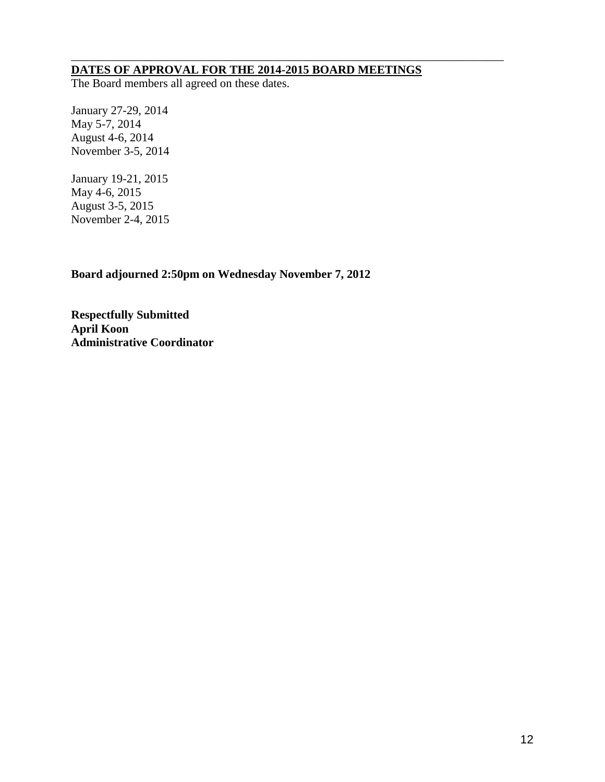#### **DATES OF APPROVAL FOR THE 2014-2015 BOARD MEETINGS**

\_\_\_\_\_\_\_\_\_\_\_\_\_\_\_\_\_\_\_\_\_\_\_\_\_\_\_\_\_\_\_\_\_\_\_\_\_\_\_\_\_\_\_\_\_\_\_\_\_\_\_\_\_\_\_\_\_\_\_\_\_\_\_\_\_\_\_\_\_\_\_\_\_

The Board members all agreed on these dates.

January 27-29, 2014 May 5-7, 2014 August 4-6, 2014 November 3-5, 2014

January 19-21, 2015 May 4-6, 2015 August 3-5, 2015 November 2-4, 2015

**Board adjourned 2:50pm on Wednesday November 7, 2012**

**Respectfully Submitted April Koon Administrative Coordinator**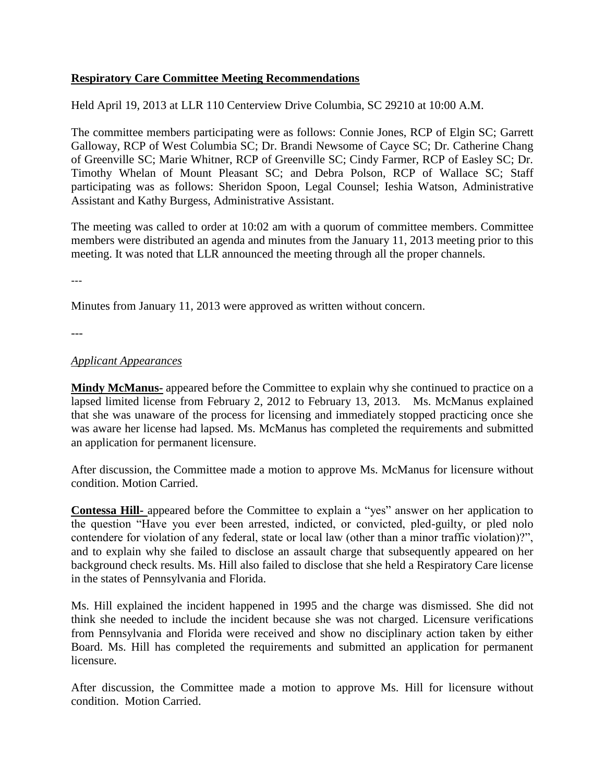#### **Respiratory Care Committee Meeting Recommendations**

Held April 19, 2013 at LLR 110 Centerview Drive Columbia, SC 29210 at 10:00 A.M.

The committee members participating were as follows: Connie Jones, RCP of Elgin SC; Garrett Galloway, RCP of West Columbia SC; Dr. Brandi Newsome of Cayce SC; Dr. Catherine Chang of Greenville SC; Marie Whitner, RCP of Greenville SC; Cindy Farmer, RCP of Easley SC; Dr. Timothy Whelan of Mount Pleasant SC; and Debra Polson, RCP of Wallace SC; Staff participating was as follows: Sheridon Spoon, Legal Counsel; Ieshia Watson, Administrative Assistant and Kathy Burgess, Administrative Assistant.

The meeting was called to order at 10:02 am with a quorum of committee members. Committee members were distributed an agenda and minutes from the January 11, 2013 meeting prior to this meeting. It was noted that LLR announced the meeting through all the proper channels.

---

Minutes from January 11, 2013 were approved as written without concern.

---

#### *Applicant Appearances*

**Mindy McManus-** appeared before the Committee to explain why she continued to practice on a lapsed limited license from February 2, 2012 to February 13, 2013. Ms. McManus explained that she was unaware of the process for licensing and immediately stopped practicing once she was aware her license had lapsed. Ms. McManus has completed the requirements and submitted an application for permanent licensure.

After discussion, the Committee made a motion to approve Ms. McManus for licensure without condition. Motion Carried.

**Contessa Hill-** appeared before the Committee to explain a "yes" answer on her application to the question "Have you ever been arrested, indicted, or convicted, pled-guilty, or pled nolo contendere for violation of any federal, state or local law (other than a minor traffic violation)?", and to explain why she failed to disclose an assault charge that subsequently appeared on her background check results. Ms. Hill also failed to disclose that she held a Respiratory Care license in the states of Pennsylvania and Florida.

Ms. Hill explained the incident happened in 1995 and the charge was dismissed. She did not think she needed to include the incident because she was not charged. Licensure verifications from Pennsylvania and Florida were received and show no disciplinary action taken by either Board. Ms. Hill has completed the requirements and submitted an application for permanent licensure.

After discussion, the Committee made a motion to approve Ms. Hill for licensure without condition. Motion Carried.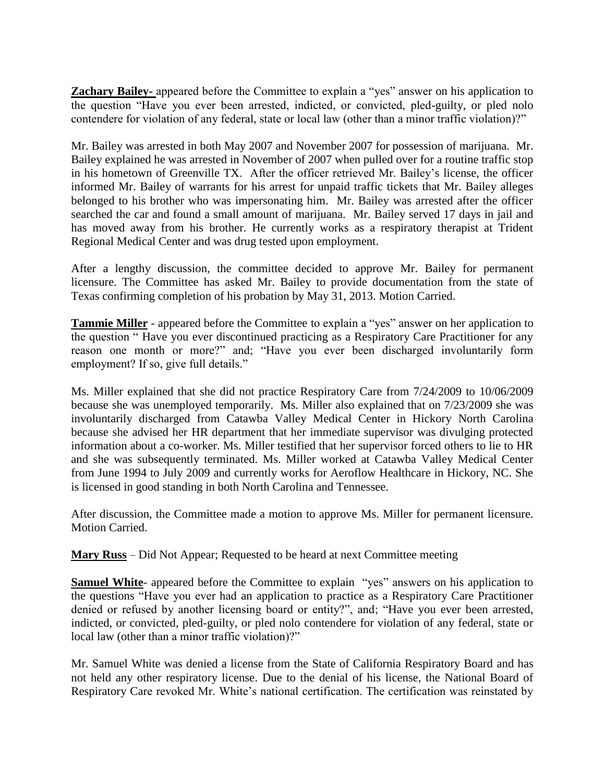**Zachary Bailey-** appeared before the Committee to explain a "yes" answer on his application to the question "Have you ever been arrested, indicted, or convicted, pled-guilty, or pled nolo contendere for violation of any federal, state or local law (other than a minor traffic violation)?"

Mr. Bailey was arrested in both May 2007 and November 2007 for possession of marijuana. Mr. Bailey explained he was arrested in November of 2007 when pulled over for a routine traffic stop in his hometown of Greenville TX. After the officer retrieved Mr. Bailey's license, the officer informed Mr. Bailey of warrants for his arrest for unpaid traffic tickets that Mr. Bailey alleges belonged to his brother who was impersonating him. Mr. Bailey was arrested after the officer searched the car and found a small amount of marijuana. Mr. Bailey served 17 days in jail and has moved away from his brother. He currently works as a respiratory therapist at Trident Regional Medical Center and was drug tested upon employment.

After a lengthy discussion, the committee decided to approve Mr. Bailey for permanent licensure. The Committee has asked Mr. Bailey to provide documentation from the state of Texas confirming completion of his probation by May 31, 2013. Motion Carried.

**Tammie Miller** - appeared before the Committee to explain a "yes" answer on her application to the question " Have you ever discontinued practicing as a Respiratory Care Practitioner for any reason one month or more?" and; "Have you ever been discharged involuntarily form employment? If so, give full details."

Ms. Miller explained that she did not practice Respiratory Care from 7/24/2009 to 10/06/2009 because she was unemployed temporarily. Ms. Miller also explained that on 7/23/2009 she was involuntarily discharged from Catawba Valley Medical Center in Hickory North Carolina because she advised her HR department that her immediate supervisor was divulging protected information about a co-worker. Ms. Miller testified that her supervisor forced others to lie to HR and she was subsequently terminated. Ms. Miller worked at Catawba Valley Medical Center from June 1994 to July 2009 and currently works for Aeroflow Healthcare in Hickory, NC. She is licensed in good standing in both North Carolina and Tennessee.

After discussion, the Committee made a motion to approve Ms. Miller for permanent licensure. Motion Carried.

**Mary Russ** – Did Not Appear; Requested to be heard at next Committee meeting

**Samuel White**- appeared before the Committee to explain "yes" answers on his application to the questions "Have you ever had an application to practice as a Respiratory Care Practitioner denied or refused by another licensing board or entity?", and; "Have you ever been arrested, indicted, or convicted, pled-guilty, or pled nolo contendere for violation of any federal, state or local law (other than a minor traffic violation)?"

Mr. Samuel White was denied a license from the State of California Respiratory Board and has not held any other respiratory license. Due to the denial of his license, the National Board of Respiratory Care revoked Mr. White's national certification. The certification was reinstated by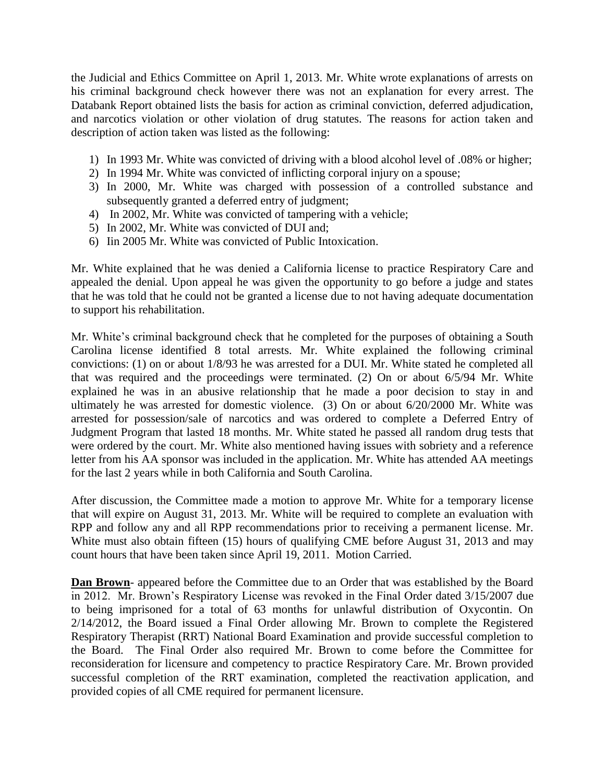the Judicial and Ethics Committee on April 1, 2013. Mr. White wrote explanations of arrests on his criminal background check however there was not an explanation for every arrest. The Databank Report obtained lists the basis for action as criminal conviction, deferred adjudication, and narcotics violation or other violation of drug statutes. The reasons for action taken and description of action taken was listed as the following:

- 1) In 1993 Mr. White was convicted of driving with a blood alcohol level of .08% or higher;
- 2) In 1994 Mr. White was convicted of inflicting corporal injury on a spouse;
- 3) In 2000, Mr. White was charged with possession of a controlled substance and subsequently granted a deferred entry of judgment;
- 4) In 2002, Mr. White was convicted of tampering with a vehicle;
- 5) In 2002, Mr. White was convicted of DUI and;
- 6) Iin 2005 Mr. White was convicted of Public Intoxication.

Mr. White explained that he was denied a California license to practice Respiratory Care and appealed the denial. Upon appeal he was given the opportunity to go before a judge and states that he was told that he could not be granted a license due to not having adequate documentation to support his rehabilitation.

Mr. White's criminal background check that he completed for the purposes of obtaining a South Carolina license identified 8 total arrests. Mr. White explained the following criminal convictions: (1) on or about 1/8/93 he was arrested for a DUI. Mr. White stated he completed all that was required and the proceedings were terminated. (2) On or about 6/5/94 Mr. White explained he was in an abusive relationship that he made a poor decision to stay in and ultimately he was arrested for domestic violence. (3) On or about 6/20/2000 Mr. White was arrested for possession/sale of narcotics and was ordered to complete a Deferred Entry of Judgment Program that lasted 18 months. Mr. White stated he passed all random drug tests that were ordered by the court. Mr. White also mentioned having issues with sobriety and a reference letter from his AA sponsor was included in the application. Mr. White has attended AA meetings for the last 2 years while in both California and South Carolina.

After discussion, the Committee made a motion to approve Mr. White for a temporary license that will expire on August 31, 2013. Mr. White will be required to complete an evaluation with RPP and follow any and all RPP recommendations prior to receiving a permanent license. Mr. White must also obtain fifteen (15) hours of qualifying CME before August 31, 2013 and may count hours that have been taken since April 19, 2011. Motion Carried.

**Dan Brown**- appeared before the Committee due to an Order that was established by the Board in 2012. Mr. Brown's Respiratory License was revoked in the Final Order dated 3/15/2007 due to being imprisoned for a total of 63 months for unlawful distribution of Oxycontin. On 2/14/2012, the Board issued a Final Order allowing Mr. Brown to complete the Registered Respiratory Therapist (RRT) National Board Examination and provide successful completion to the Board. The Final Order also required Mr. Brown to come before the Committee for reconsideration for licensure and competency to practice Respiratory Care. Mr. Brown provided successful completion of the RRT examination, completed the reactivation application, and provided copies of all CME required for permanent licensure.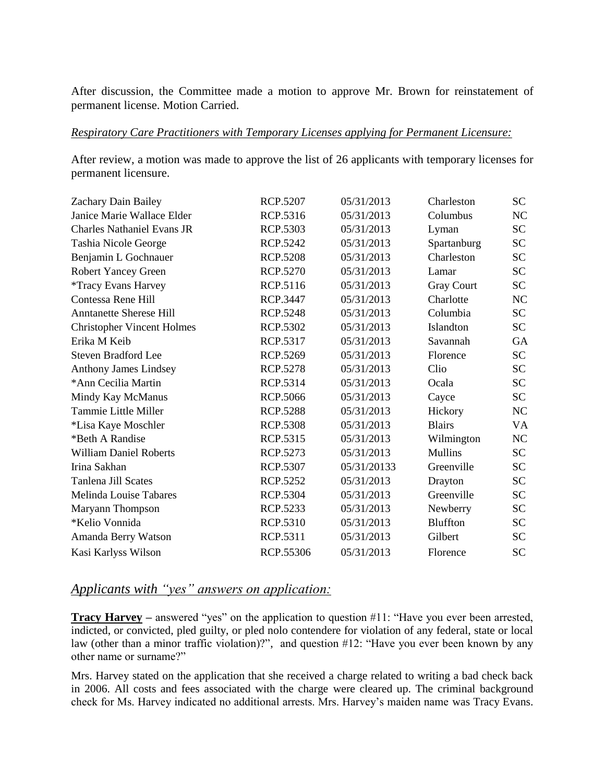After discussion, the Committee made a motion to approve Mr. Brown for reinstatement of permanent license. Motion Carried.

#### *Respiratory Care Practitioners with Temporary Licenses applying for Permanent Licensure:*

After review, a motion was made to approve the list of 26 applicants with temporary licenses for permanent licensure.

| <b>RCP.5207</b> | 05/31/2013  | Charleston        | SC        |
|-----------------|-------------|-------------------|-----------|
| RCP.5316        | 05/31/2013  | Columbus          | NC        |
| RCP.5303        | 05/31/2013  | Lyman             | <b>SC</b> |
| RCP.5242        | 05/31/2013  | Spartanburg       | <b>SC</b> |
| <b>RCP.5208</b> | 05/31/2013  | Charleston        | <b>SC</b> |
| RCP.5270        | 05/31/2013  | Lamar             | <b>SC</b> |
| RCP.5116        | 05/31/2013  | <b>Gray Court</b> | <b>SC</b> |
| RCP.3447        | 05/31/2013  | Charlotte         | NC        |
| <b>RCP.5248</b> | 05/31/2013  | Columbia          | <b>SC</b> |
| RCP.5302        | 05/31/2013  | Islandton         | <b>SC</b> |
| RCP.5317        | 05/31/2013  | Savannah          | GA        |
| RCP.5269        | 05/31/2013  | Florence          | <b>SC</b> |
| <b>RCP.5278</b> | 05/31/2013  | Clio              | <b>SC</b> |
| RCP.5314        | 05/31/2013  | Ocala             | <b>SC</b> |
| <b>RCP.5066</b> | 05/31/2013  | Cayce             | <b>SC</b> |
| <b>RCP.5288</b> | 05/31/2013  | Hickory           | <b>NC</b> |
| <b>RCP.5308</b> | 05/31/2013  | <b>Blairs</b>     | VA        |
| RCP.5315        | 05/31/2013  | Wilmington        | <b>NC</b> |
| RCP.5273        | 05/31/2013  | <b>Mullins</b>    | <b>SC</b> |
| RCP.5307        | 05/31/20133 | Greenville        | <b>SC</b> |
| RCP.5252        | 05/31/2013  | Drayton           | <b>SC</b> |
| RCP.5304        | 05/31/2013  | Greenville        | <b>SC</b> |
| RCP.5233        | 05/31/2013  | Newberry          | <b>SC</b> |
| RCP.5310        | 05/31/2013  | <b>Bluffton</b>   | <b>SC</b> |
| RCP.5311        | 05/31/2013  | Gilbert           | <b>SC</b> |
| RCP.55306       | 05/31/2013  | Florence          | <b>SC</b> |
|                 |             |                   |           |

# *Applicants with "yes" answers on application:*

**Tracy Harvey** – answered "yes" on the application to question #11: "Have you ever been arrested, indicted, or convicted, pled guilty, or pled nolo contendere for violation of any federal, state or local law (other than a minor traffic violation)?", and question #12: "Have you ever been known by any other name or surname?"

Mrs. Harvey stated on the application that she received a charge related to writing a bad check back in 2006. All costs and fees associated with the charge were cleared up. The criminal background check for Ms. Harvey indicated no additional arrests. Mrs. Harvey's maiden name was Tracy Evans.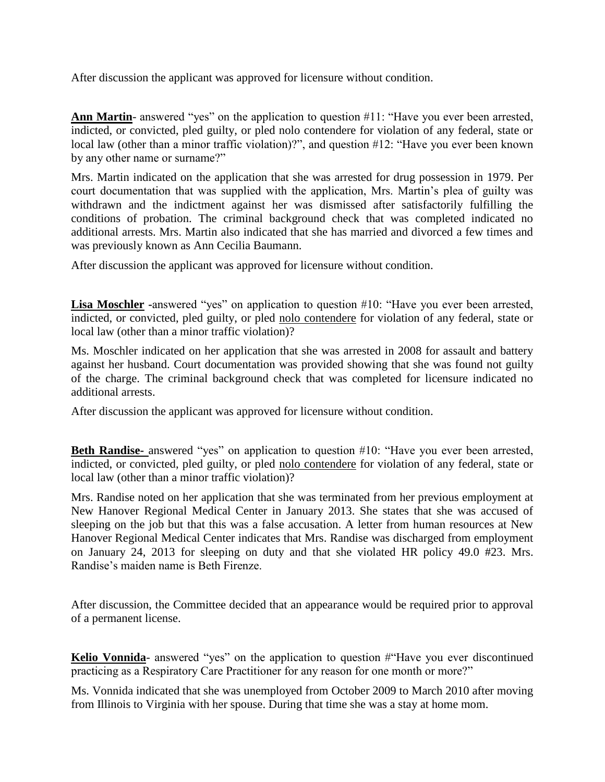After discussion the applicant was approved for licensure without condition.

Ann Martin- answered "yes" on the application to question #11: "Have you ever been arrested, indicted, or convicted, pled guilty, or pled nolo contendere for violation of any federal, state or local law (other than a minor traffic violation)?", and question #12: "Have you ever been known by any other name or surname?"

Mrs. Martin indicated on the application that she was arrested for drug possession in 1979. Per court documentation that was supplied with the application, Mrs. Martin's plea of guilty was withdrawn and the indictment against her was dismissed after satisfactorily fulfilling the conditions of probation. The criminal background check that was completed indicated no additional arrests. Mrs. Martin also indicated that she has married and divorced a few times and was previously known as Ann Cecilia Baumann.

After discussion the applicant was approved for licensure without condition.

**Lisa Moschler -**answered "yes" on application to question #10: "Have you ever been arrested, indicted, or convicted, pled guilty, or pled nolo contendere for violation of any federal, state or local law (other than a minor traffic violation)?

Ms. Moschler indicated on her application that she was arrested in 2008 for assault and battery against her husband. Court documentation was provided showing that she was found not guilty of the charge. The criminal background check that was completed for licensure indicated no additional arrests.

After discussion the applicant was approved for licensure without condition.

**Beth Randise-** answered "yes" on application to question #10: "Have you ever been arrested, indicted, or convicted, pled guilty, or pled nolo contendere for violation of any federal, state or local law (other than a minor traffic violation)?

Mrs. Randise noted on her application that she was terminated from her previous employment at New Hanover Regional Medical Center in January 2013. She states that she was accused of sleeping on the job but that this was a false accusation. A letter from human resources at New Hanover Regional Medical Center indicates that Mrs. Randise was discharged from employment on January 24, 2013 for sleeping on duty and that she violated HR policy 49.0 #23. Mrs. Randise's maiden name is Beth Firenze.

After discussion, the Committee decided that an appearance would be required prior to approval of a permanent license.

**Kelio Vonnida**- answered "yes" on the application to question #"Have you ever discontinued practicing as a Respiratory Care Practitioner for any reason for one month or more?"

Ms. Vonnida indicated that she was unemployed from October 2009 to March 2010 after moving from Illinois to Virginia with her spouse. During that time she was a stay at home mom.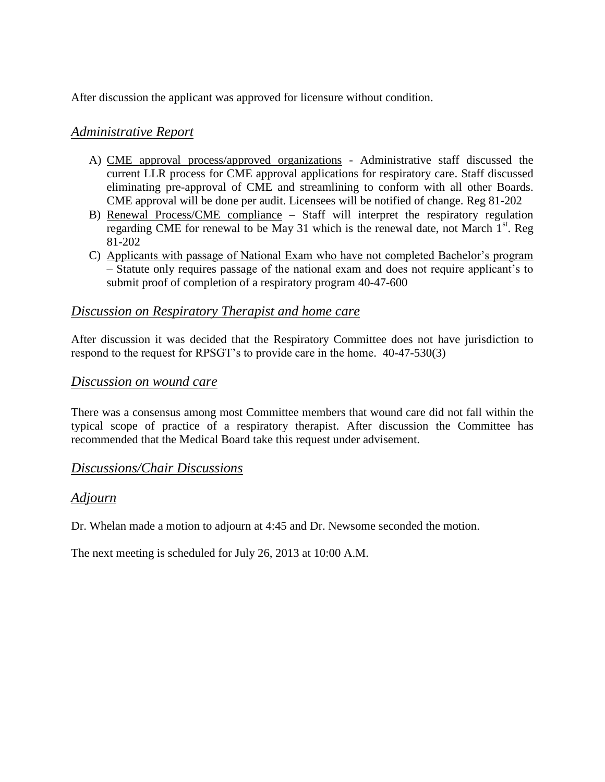After discussion the applicant was approved for licensure without condition.

# *Administrative Report*

- A) CME approval process/approved organizations Administrative staff discussed the current LLR process for CME approval applications for respiratory care. Staff discussed eliminating pre-approval of CME and streamlining to conform with all other Boards. CME approval will be done per audit. Licensees will be notified of change. Reg 81-202
- B) Renewal Process/CME compliance Staff will interpret the respiratory regulation regarding CME for renewal to be May 31 which is the renewal date, not March  $1<sup>st</sup>$ . Reg 81-202
- C) Applicants with passage of National Exam who have not completed Bachelor's program – Statute only requires passage of the national exam and does not require applicant's to submit proof of completion of a respiratory program 40-47-600

# *Discussion on Respiratory Therapist and home care*

After discussion it was decided that the Respiratory Committee does not have jurisdiction to respond to the request for RPSGT's to provide care in the home. 40-47-530(3)

# *Discussion on wound care*

There was a consensus among most Committee members that wound care did not fall within the typical scope of practice of a respiratory therapist. After discussion the Committee has recommended that the Medical Board take this request under advisement.

# *Discussions/Chair Discussions*

# *Adjourn*

Dr. Whelan made a motion to adjourn at 4:45 and Dr. Newsome seconded the motion.

The next meeting is scheduled for July 26, 2013 at 10:00 A.M.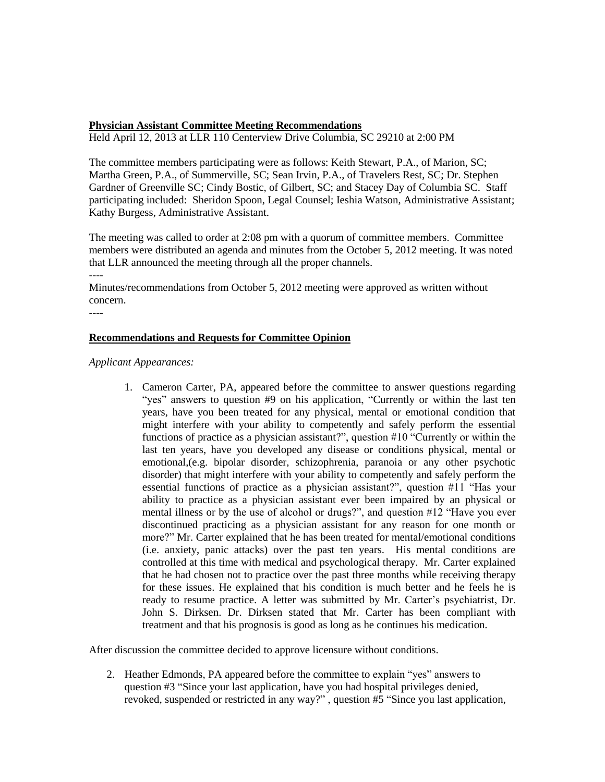#### **Physician Assistant Committee Meeting Recommendations**

Held April 12, 2013 at LLR 110 Centerview Drive Columbia, SC 29210 at 2:00 PM

The committee members participating were as follows: Keith Stewart, P.A., of Marion, SC; Martha Green, P.A., of Summerville, SC; Sean Irvin, P.A., of Travelers Rest, SC; Dr. Stephen Gardner of Greenville SC; Cindy Bostic, of Gilbert, SC; and Stacey Day of Columbia SC. Staff participating included: Sheridon Spoon, Legal Counsel; Ieshia Watson, Administrative Assistant; Kathy Burgess, Administrative Assistant.

The meeting was called to order at 2:08 pm with a quorum of committee members. Committee members were distributed an agenda and minutes from the October 5, 2012 meeting. It was noted that LLR announced the meeting through all the proper channels.

----

Minutes/recommendations from October 5, 2012 meeting were approved as written without concern.

----

#### **Recommendations and Requests for Committee Opinion**

*Applicant Appearances:*

1. Cameron Carter, PA, appeared before the committee to answer questions regarding "yes" answers to question #9 on his application, "Currently or within the last ten years, have you been treated for any physical, mental or emotional condition that might interfere with your ability to competently and safely perform the essential functions of practice as a physician assistant?", question #10 "Currently or within the last ten years, have you developed any disease or conditions physical, mental or emotional,(e.g. bipolar disorder, schizophrenia, paranoia or any other psychotic disorder) that might interfere with your ability to competently and safely perform the essential functions of practice as a physician assistant?", question #11 "Has your ability to practice as a physician assistant ever been impaired by an physical or mental illness or by the use of alcohol or drugs?", and question #12 "Have you ever discontinued practicing as a physician assistant for any reason for one month or more?" Mr. Carter explained that he has been treated for mental/emotional conditions (i.e. anxiety, panic attacks) over the past ten years. His mental conditions are controlled at this time with medical and psychological therapy. Mr. Carter explained that he had chosen not to practice over the past three months while receiving therapy for these issues. He explained that his condition is much better and he feels he is ready to resume practice. A letter was submitted by Mr. Carter's psychiatrist, Dr. John S. Dirksen. Dr. Dirksen stated that Mr. Carter has been compliant with treatment and that his prognosis is good as long as he continues his medication.

After discussion the committee decided to approve licensure without conditions.

2. Heather Edmonds, PA appeared before the committee to explain "yes" answers to question #3 "Since your last application, have you had hospital privileges denied, revoked, suspended or restricted in any way?" , question #5 "Since you last application,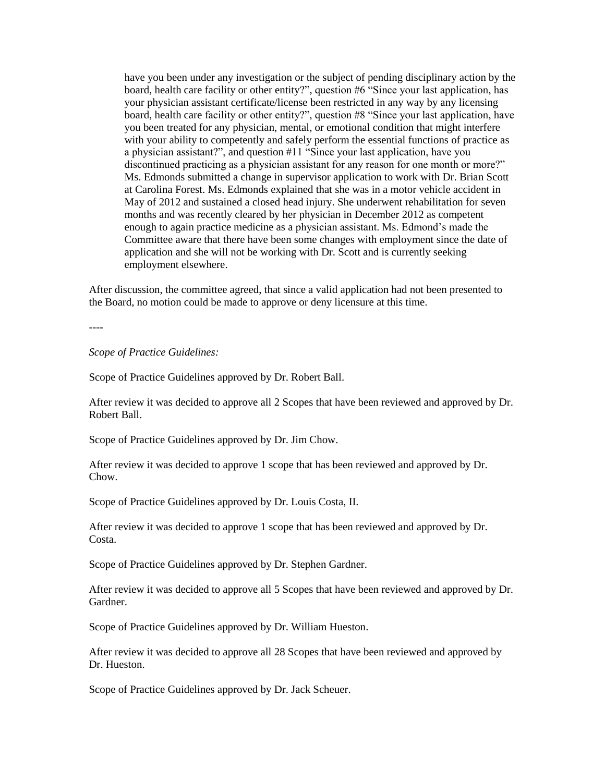have you been under any investigation or the subject of pending disciplinary action by the board, health care facility or other entity?", question #6 "Since your last application, has your physician assistant certificate/license been restricted in any way by any licensing board, health care facility or other entity?", question #8 "Since your last application, have you been treated for any physician, mental, or emotional condition that might interfere with your ability to competently and safely perform the essential functions of practice as a physician assistant?", and question #11 "Since your last application, have you discontinued practicing as a physician assistant for any reason for one month or more?" Ms. Edmonds submitted a change in supervisor application to work with Dr. Brian Scott at Carolina Forest. Ms. Edmonds explained that she was in a motor vehicle accident in May of 2012 and sustained a closed head injury. She underwent rehabilitation for seven months and was recently cleared by her physician in December 2012 as competent enough to again practice medicine as a physician assistant. Ms. Edmond's made the Committee aware that there have been some changes with employment since the date of application and she will not be working with Dr. Scott and is currently seeking employment elsewhere.

After discussion, the committee agreed, that since a valid application had not been presented to the Board, no motion could be made to approve or deny licensure at this time.

----

*Scope of Practice Guidelines:*

Scope of Practice Guidelines approved by Dr. Robert Ball.

After review it was decided to approve all 2 Scopes that have been reviewed and approved by Dr. Robert Ball.

Scope of Practice Guidelines approved by Dr. Jim Chow.

After review it was decided to approve 1 scope that has been reviewed and approved by Dr. Chow.

Scope of Practice Guidelines approved by Dr. Louis Costa, II.

After review it was decided to approve 1 scope that has been reviewed and approved by Dr. Costa.

Scope of Practice Guidelines approved by Dr. Stephen Gardner.

After review it was decided to approve all 5 Scopes that have been reviewed and approved by Dr. Gardner.

Scope of Practice Guidelines approved by Dr. William Hueston.

After review it was decided to approve all 28 Scopes that have been reviewed and approved by Dr. Hueston.

Scope of Practice Guidelines approved by Dr. Jack Scheuer.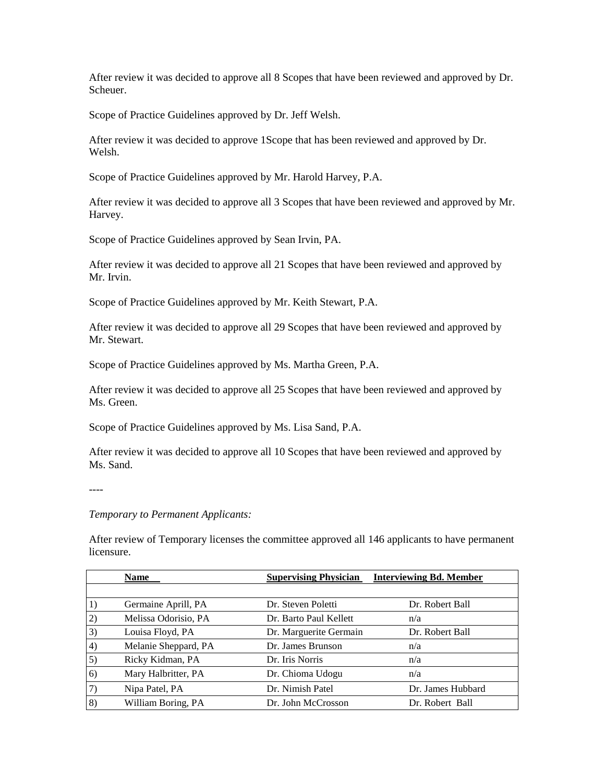After review it was decided to approve all 8 Scopes that have been reviewed and approved by Dr. Scheuer.

Scope of Practice Guidelines approved by Dr. Jeff Welsh.

After review it was decided to approve 1Scope that has been reviewed and approved by Dr. Welsh.

Scope of Practice Guidelines approved by Mr. Harold Harvey, P.A.

After review it was decided to approve all 3 Scopes that have been reviewed and approved by Mr. Harvey.

Scope of Practice Guidelines approved by Sean Irvin, PA.

After review it was decided to approve all 21 Scopes that have been reviewed and approved by Mr. Irvin.

Scope of Practice Guidelines approved by Mr. Keith Stewart, P.A.

After review it was decided to approve all 29 Scopes that have been reviewed and approved by Mr. Stewart.

Scope of Practice Guidelines approved by Ms. Martha Green, P.A.

After review it was decided to approve all 25 Scopes that have been reviewed and approved by Ms. Green.

Scope of Practice Guidelines approved by Ms. Lisa Sand, P.A.

After review it was decided to approve all 10 Scopes that have been reviewed and approved by Ms. Sand.

----

*Temporary to Permanent Applicants:*

After review of Temporary licenses the committee approved all 146 applicants to have permanent licensure.

|    | <b>Name</b>          | <b>Supervising Physician</b> | <b>Interviewing Bd. Member</b> |
|----|----------------------|------------------------------|--------------------------------|
|    |                      |                              |                                |
| 1) | Germaine Aprill, PA  | Dr. Steven Poletti           | Dr. Robert Ball                |
| 2) | Melissa Odorisio, PA | Dr. Barto Paul Kellett       | n/a                            |
| 3) | Louisa Floyd, PA     | Dr. Marguerite Germain       | Dr. Robert Ball                |
| 4) | Melanie Sheppard, PA | Dr. James Brunson            | n/a                            |
| 5) | Ricky Kidman, PA     | Dr. Iris Norris              | n/a                            |
| 6) | Mary Halbritter, PA  | Dr. Chioma Udogu             | n/a                            |
| 7) | Nipa Patel, PA       | Dr. Nimish Patel             | Dr. James Hubbard              |
| 8) | William Boring, PA   | Dr. John McCrosson           | Dr. Robert Ball                |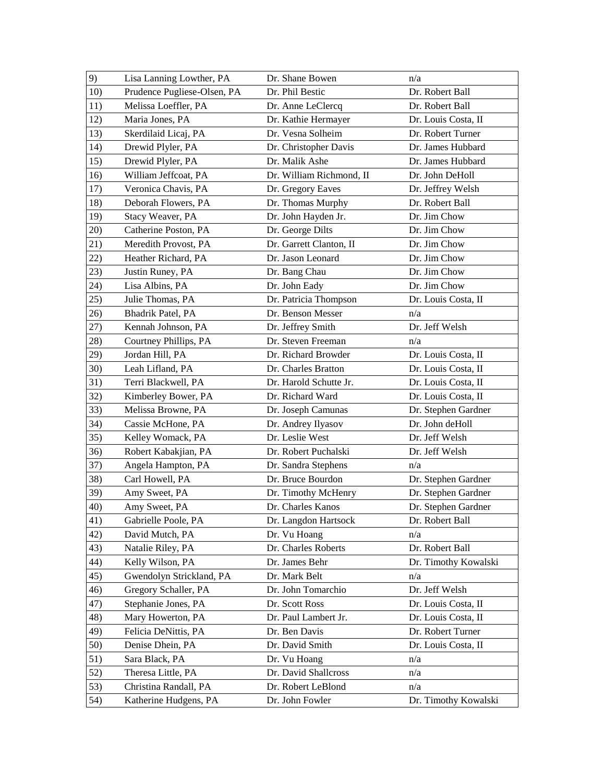| 9)  | Lisa Lanning Lowther, PA    | Dr. Shane Bowen          | n/a                  |
|-----|-----------------------------|--------------------------|----------------------|
| 10) | Prudence Pugliese-Olsen, PA | Dr. Phil Bestic          | Dr. Robert Ball      |
| 11) | Melissa Loeffler, PA        | Dr. Anne LeClercq        | Dr. Robert Ball      |
| 12) | Maria Jones, PA             | Dr. Kathie Hermayer      | Dr. Louis Costa, II  |
| 13) | Skerdilaid Licaj, PA        | Dr. Vesna Solheim        | Dr. Robert Turner    |
| 14) | Drewid Plyler, PA           | Dr. Christopher Davis    | Dr. James Hubbard    |
| 15) | Drewid Plyler, PA           | Dr. Malik Ashe           | Dr. James Hubbard    |
| 16) | William Jeffcoat, PA        | Dr. William Richmond, II | Dr. John DeHoll      |
| 17) | Veronica Chavis, PA         | Dr. Gregory Eaves        | Dr. Jeffrey Welsh    |
| 18) | Deborah Flowers, PA         | Dr. Thomas Murphy        | Dr. Robert Ball      |
| 19) | Stacy Weaver, PA            | Dr. John Hayden Jr.      | Dr. Jim Chow         |
| 20) | Catherine Poston, PA        | Dr. George Dilts         | Dr. Jim Chow         |
| 21) | Meredith Provost, PA        | Dr. Garrett Clanton, II  | Dr. Jim Chow         |
| 22) | Heather Richard, PA         | Dr. Jason Leonard        | Dr. Jim Chow         |
| 23) | Justin Runey, PA            | Dr. Bang Chau            | Dr. Jim Chow         |
| 24) | Lisa Albins, PA             | Dr. John Eady            | Dr. Jim Chow         |
| 25) | Julie Thomas, PA            | Dr. Patricia Thompson    | Dr. Louis Costa, II  |
| 26) | Bhadrik Patel, PA           | Dr. Benson Messer        | n/a                  |
| 27) | Kennah Johnson, PA          | Dr. Jeffrey Smith        | Dr. Jeff Welsh       |
| 28) | Courtney Phillips, PA       | Dr. Steven Freeman       | n/a                  |
| 29) | Jordan Hill, PA             | Dr. Richard Browder      | Dr. Louis Costa, II  |
| 30) | Leah Lifland, PA            | Dr. Charles Bratton      | Dr. Louis Costa, II  |
| 31) | Terri Blackwell, PA         | Dr. Harold Schutte Jr.   | Dr. Louis Costa, II  |
| 32) | Kimberley Bower, PA         | Dr. Richard Ward         | Dr. Louis Costa, II  |
| 33) | Melissa Browne, PA          | Dr. Joseph Camunas       | Dr. Stephen Gardner  |
| 34) | Cassie McHone, PA           | Dr. Andrey Ilyasov       | Dr. John deHoll      |
| 35) | Kelley Womack, PA           | Dr. Leslie West          | Dr. Jeff Welsh       |
| 36) | Robert Kabakjian, PA        | Dr. Robert Puchalski     | Dr. Jeff Welsh       |
| 37) | Angela Hampton, PA          | Dr. Sandra Stephens      | n/a                  |
| 38) | Carl Howell, PA             | Dr. Bruce Bourdon        | Dr. Stephen Gardner  |
| 39) | Amy Sweet, PA               | Dr. Timothy McHenry      | Dr. Stephen Gardner  |
| 40) | Amy Sweet, PA               | Dr. Charles Kanos        | Dr. Stephen Gardner  |
| 41) | Gabrielle Poole, PA         | Dr. Langdon Hartsock     | Dr. Robert Ball      |
| 42) | David Mutch, PA             | Dr. Vu Hoang             | n/a                  |
| 43) | Natalie Riley, PA           | Dr. Charles Roberts      | Dr. Robert Ball      |
| 44) | Kelly Wilson, PA            | Dr. James Behr           | Dr. Timothy Kowalski |
| 45) | Gwendolyn Strickland, PA    | Dr. Mark Belt            | n/a                  |
| 46) | Gregory Schaller, PA        | Dr. John Tomarchio       | Dr. Jeff Welsh       |
| 47) | Stephanie Jones, PA         | Dr. Scott Ross           | Dr. Louis Costa, II  |
| 48) | Mary Howerton, PA           | Dr. Paul Lambert Jr.     | Dr. Louis Costa, II  |
| 49) | Felicia DeNittis, PA        | Dr. Ben Davis            | Dr. Robert Turner    |
| 50) | Denise Dhein, PA            | Dr. David Smith          | Dr. Louis Costa, II  |
| 51) | Sara Black, PA              | Dr. Vu Hoang             | n/a                  |
| 52) | Theresa Little, PA          | Dr. David Shallcross     | n/a                  |
| 53) | Christina Randall, PA       | Dr. Robert LeBlond       | n/a                  |
| 54) | Katherine Hudgens, PA       | Dr. John Fowler          | Dr. Timothy Kowalski |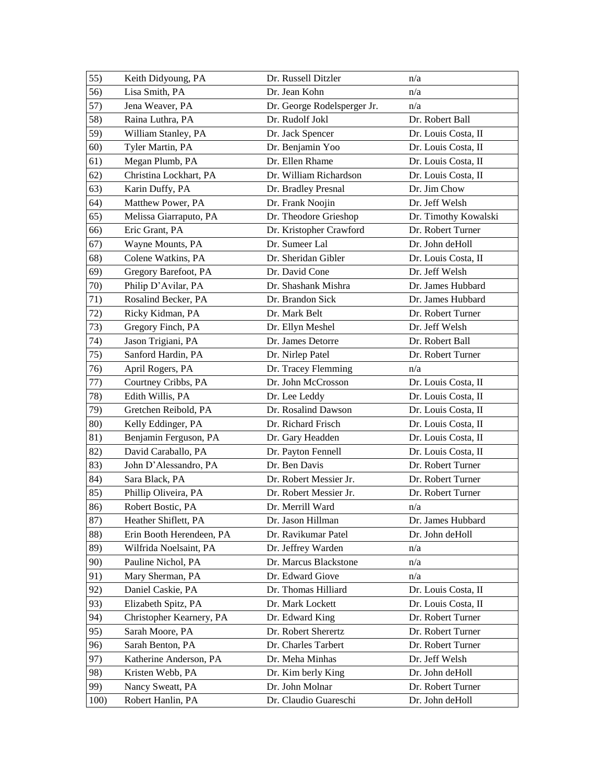| 55)  | Keith Didyoung, PA       | Dr. Russell Ditzler         | n/a                  |
|------|--------------------------|-----------------------------|----------------------|
| 56)  | Lisa Smith, PA           | Dr. Jean Kohn               | n/a                  |
| 57)  | Jena Weaver, PA          | Dr. George Rodelsperger Jr. | n/a                  |
| 58)  | Raina Luthra, PA         | Dr. Rudolf Jokl             | Dr. Robert Ball      |
| 59)  | William Stanley, PA      | Dr. Jack Spencer            | Dr. Louis Costa, II  |
| 60)  | Tyler Martin, PA         | Dr. Benjamin Yoo            | Dr. Louis Costa, II  |
| 61)  | Megan Plumb, PA          | Dr. Ellen Rhame             | Dr. Louis Costa, II  |
| 62)  | Christina Lockhart, PA   | Dr. William Richardson      | Dr. Louis Costa, II  |
| 63)  | Karin Duffy, PA          | Dr. Bradley Presnal         | Dr. Jim Chow         |
| 64)  | Matthew Power, PA        | Dr. Frank Noojin            | Dr. Jeff Welsh       |
| 65)  | Melissa Giarraputo, PA   | Dr. Theodore Grieshop       | Dr. Timothy Kowalski |
| 66)  | Eric Grant, PA           | Dr. Kristopher Crawford     | Dr. Robert Turner    |
| 67)  | Wayne Mounts, PA         | Dr. Sumeer Lal              | Dr. John deHoll      |
| 68)  | Colene Watkins, PA       | Dr. Sheridan Gibler         | Dr. Louis Costa, II  |
| 69)  | Gregory Barefoot, PA     | Dr. David Cone              | Dr. Jeff Welsh       |
| 70)  | Philip D'Avilar, PA      | Dr. Shashank Mishra         | Dr. James Hubbard    |
| 71)  | Rosalind Becker, PA      | Dr. Brandon Sick            | Dr. James Hubbard    |
| 72)  | Ricky Kidman, PA         | Dr. Mark Belt               | Dr. Robert Turner    |
| 73)  | Gregory Finch, PA        | Dr. Ellyn Meshel            | Dr. Jeff Welsh       |
| 74)  | Jason Trigiani, PA       | Dr. James Detorre           | Dr. Robert Ball      |
| 75)  | Sanford Hardin, PA       | Dr. Nirlep Patel            | Dr. Robert Turner    |
| 76)  | April Rogers, PA         | Dr. Tracey Flemming         | n/a                  |
| 77)  | Courtney Cribbs, PA      | Dr. John McCrosson          | Dr. Louis Costa, II  |
| 78)  | Edith Willis, PA         | Dr. Lee Leddy               | Dr. Louis Costa, II  |
| 79)  | Gretchen Reibold, PA     | Dr. Rosalind Dawson         | Dr. Louis Costa, II  |
| 80)  | Kelly Eddinger, PA       | Dr. Richard Frisch          | Dr. Louis Costa, II  |
| 81)  | Benjamin Ferguson, PA    | Dr. Gary Headden            | Dr. Louis Costa, II  |
| 82)  | David Caraballo, PA      | Dr. Payton Fennell          | Dr. Louis Costa, II  |
| 83)  | John D'Alessandro, PA    | Dr. Ben Davis               | Dr. Robert Turner    |
| 84)  | Sara Black, PA           | Dr. Robert Messier Jr.      | Dr. Robert Turner    |
| 85)  | Phillip Oliveira, PA     | Dr. Robert Messier Jr.      | Dr. Robert Turner    |
| 86)  | Robert Bostic, PA        | Dr. Merrill Ward            | n/a                  |
| 87)  | Heather Shiflett, PA     | Dr. Jason Hillman           | Dr. James Hubbard    |
| 88)  | Erin Booth Herendeen, PA | Dr. Ravikumar Patel         | Dr. John deHoll      |
| 89)  | Wilfrida Noelsaint, PA   | Dr. Jeffrey Warden          | n/a                  |
| 90)  | Pauline Nichol, PA       | Dr. Marcus Blackstone       | n/a                  |
| 91)  | Mary Sherman, PA         | Dr. Edward Giove            | n/a                  |
| 92)  | Daniel Caskie, PA        | Dr. Thomas Hilliard         | Dr. Louis Costa, II  |
| 93)  | Elizabeth Spitz, PA      | Dr. Mark Lockett            | Dr. Louis Costa, II  |
| 94)  | Christopher Kearnery, PA | Dr. Edward King             | Dr. Robert Turner    |
| 95)  | Sarah Moore, PA          | Dr. Robert Sherertz         | Dr. Robert Turner    |
| 96)  | Sarah Benton, PA         | Dr. Charles Tarbert         | Dr. Robert Turner    |
| 97)  | Katherine Anderson, PA   | Dr. Meha Minhas             | Dr. Jeff Welsh       |
| 98)  | Kristen Webb, PA         | Dr. Kim berly King          | Dr. John deHoll      |
| 99)  | Nancy Sweatt, PA         | Dr. John Molnar             | Dr. Robert Turner    |
| 100) | Robert Hanlin, PA        | Dr. Claudio Guareschi       | Dr. John deHoll      |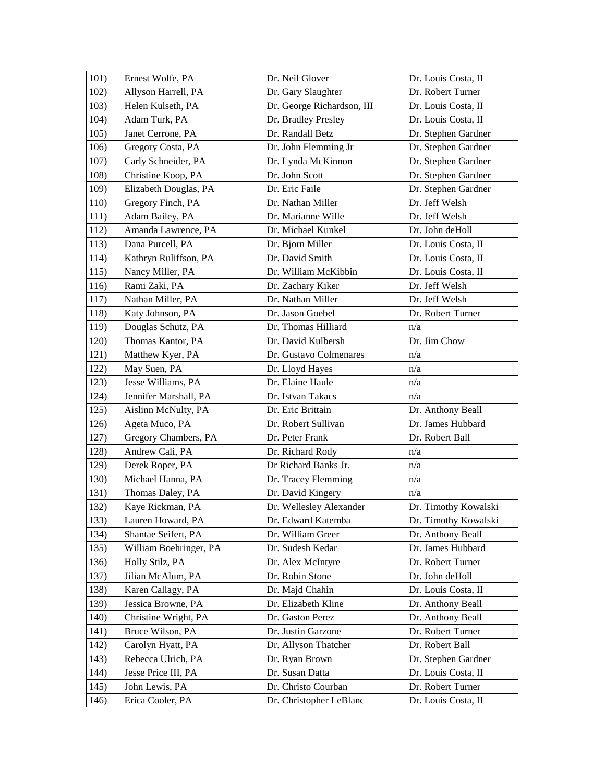| 101) | Ernest Wolfe, PA       | Dr. Neil Glover            | Dr. Louis Costa, II  |
|------|------------------------|----------------------------|----------------------|
| 102) | Allyson Harrell, PA    | Dr. Gary Slaughter         | Dr. Robert Turner    |
| 103) | Helen Kulseth, PA      | Dr. George Richardson, III | Dr. Louis Costa, II  |
| 104) | Adam Turk, PA          | Dr. Bradley Presley        | Dr. Louis Costa, II  |
| 105) | Janet Cerrone, PA      | Dr. Randall Betz           | Dr. Stephen Gardner  |
| 106) | Gregory Costa, PA      | Dr. John Flemming Jr       | Dr. Stephen Gardner  |
| 107) | Carly Schneider, PA    | Dr. Lynda McKinnon         | Dr. Stephen Gardner  |
| 108) | Christine Koop, PA     | Dr. John Scott             | Dr. Stephen Gardner  |
| 109) | Elizabeth Douglas, PA  | Dr. Eric Faile             | Dr. Stephen Gardner  |
| 110) | Gregory Finch, PA      | Dr. Nathan Miller          | Dr. Jeff Welsh       |
| 111) | Adam Bailey, PA        | Dr. Marianne Wille         | Dr. Jeff Welsh       |
| 112) | Amanda Lawrence, PA    | Dr. Michael Kunkel         | Dr. John deHoll      |
| 113) | Dana Purcell, PA       | Dr. Bjorn Miller           | Dr. Louis Costa, II  |
| 114) | Kathryn Ruliffson, PA  | Dr. David Smith            | Dr. Louis Costa, II  |
| 115) | Nancy Miller, PA       | Dr. William McKibbin       | Dr. Louis Costa, II  |
| 116) | Rami Zaki, PA          | Dr. Zachary Kiker          | Dr. Jeff Welsh       |
| 117) | Nathan Miller, PA      | Dr. Nathan Miller          | Dr. Jeff Welsh       |
| 118) | Katy Johnson, PA       | Dr. Jason Goebel           | Dr. Robert Turner    |
| 119) | Douglas Schutz, PA     | Dr. Thomas Hilliard        | n/a                  |
| 120) | Thomas Kantor, PA      | Dr. David Kulbersh         | Dr. Jim Chow         |
| 121) | Matthew Kyer, PA       | Dr. Gustavo Colmenares     | n/a                  |
| 122) | May Suen, PA           | Dr. Lloyd Hayes            | n/a                  |
| 123) | Jesse Williams, PA     | Dr. Elaine Haule           | n/a                  |
| 124) | Jennifer Marshall, PA  | Dr. Istvan Takacs          | n/a                  |
| 125) | Aislinn McNulty, PA    | Dr. Eric Brittain          | Dr. Anthony Beall    |
| 126) | Ageta Muco, PA         | Dr. Robert Sullivan        | Dr. James Hubbard    |
| 127) | Gregory Chambers, PA   | Dr. Peter Frank            | Dr. Robert Ball      |
| 128) | Andrew Cali, PA        | Dr. Richard Rody           | n/a                  |
| 129) | Derek Roper, PA        | Dr Richard Banks Jr.       | n/a                  |
| 130) | Michael Hanna, PA      | Dr. Tracey Flemming        | n/a                  |
| 131) | Thomas Daley, PA       | Dr. David Kingery          | n/a                  |
| 132) | Kaye Rickman, PA       | Dr. Wellesley Alexander    | Dr. Timothy Kowalski |
| 133) | Lauren Howard, PA      | Dr. Edward Katemba         | Dr. Timothy Kowalski |
| 134) | Shantae Seifert, PA    | Dr. William Greer          | Dr. Anthony Beall    |
| 135) | William Boehringer, PA | Dr. Sudesh Kedar           | Dr. James Hubbard    |
| 136) | Holly Stilz, PA        | Dr. Alex McIntyre          | Dr. Robert Turner    |
| 137) | Jilian McAlum, PA      | Dr. Robin Stone            | Dr. John deHoll      |
| 138) | Karen Callagy, PA      | Dr. Majd Chahin            | Dr. Louis Costa, II  |
| 139) | Jessica Browne, PA     | Dr. Elizabeth Kline        | Dr. Anthony Beall    |
| 140) | Christine Wright, PA   | Dr. Gaston Perez           | Dr. Anthony Beall    |
| 141) | Bruce Wilson, PA       | Dr. Justin Garzone         | Dr. Robert Turner    |
| 142) | Carolyn Hyatt, PA      | Dr. Allyson Thatcher       | Dr. Robert Ball      |
| 143) | Rebecca Ulrich, PA     | Dr. Ryan Brown             | Dr. Stephen Gardner  |
| 144) | Jesse Price III, PA    | Dr. Susan Datta            | Dr. Louis Costa, II  |
| 145) | John Lewis, PA         | Dr. Christo Courban        | Dr. Robert Turner    |
| 146) | Erica Cooler, PA       | Dr. Christopher LeBlanc    | Dr. Louis Costa, II  |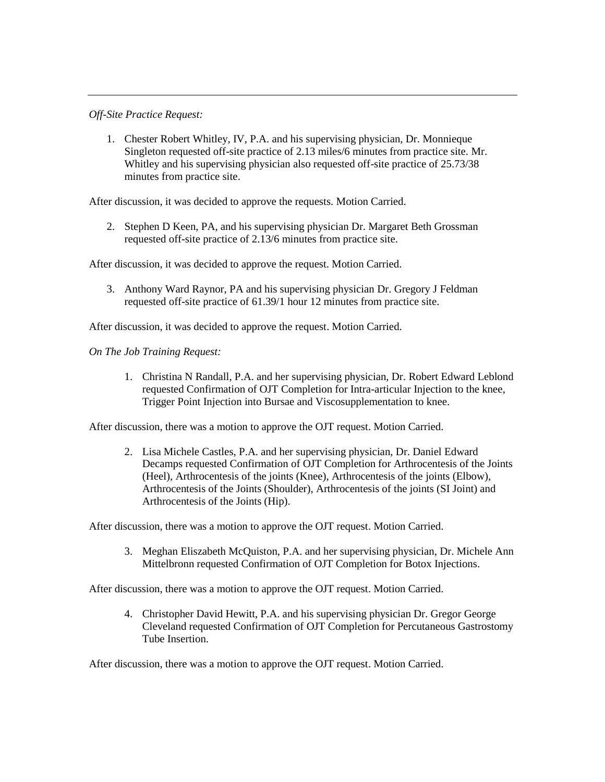#### *Off-Site Practice Request:*

1. Chester Robert Whitley, IV, P.A. and his supervising physician, Dr. Monnieque Singleton requested off-site practice of 2.13 miles/6 minutes from practice site. Mr. Whitley and his supervising physician also requested off-site practice of 25.73/38 minutes from practice site.

After discussion, it was decided to approve the requests. Motion Carried.

2. Stephen D Keen, PA, and his supervising physician Dr. Margaret Beth Grossman requested off-site practice of 2.13/6 minutes from practice site.

After discussion, it was decided to approve the request. Motion Carried.

3. Anthony Ward Raynor, PA and his supervising physician Dr. Gregory J Feldman requested off-site practice of 61.39/1 hour 12 minutes from practice site.

After discussion, it was decided to approve the request. Motion Carried.

*On The Job Training Request:*

1. Christina N Randall, P.A. and her supervising physician, Dr. Robert Edward Leblond requested Confirmation of OJT Completion for Intra-articular Injection to the knee, Trigger Point Injection into Bursae and Viscosupplementation to knee.

After discussion, there was a motion to approve the OJT request. Motion Carried.

2. Lisa Michele Castles, P.A. and her supervising physician, Dr. Daniel Edward Decamps requested Confirmation of OJT Completion for Arthrocentesis of the Joints (Heel), Arthrocentesis of the joints (Knee), Arthrocentesis of the joints (Elbow), Arthrocentesis of the Joints (Shoulder), Arthrocentesis of the joints (SI Joint) and Arthrocentesis of the Joints (Hip).

After discussion, there was a motion to approve the OJT request. Motion Carried.

3. Meghan Eliszabeth McQuiston, P.A. and her supervising physician, Dr. Michele Ann Mittelbronn requested Confirmation of OJT Completion for Botox Injections.

After discussion, there was a motion to approve the OJT request. Motion Carried.

4. Christopher David Hewitt, P.A. and his supervising physician Dr. Gregor George Cleveland requested Confirmation of OJT Completion for Percutaneous Gastrostomy Tube Insertion.

After discussion, there was a motion to approve the OJT request. Motion Carried.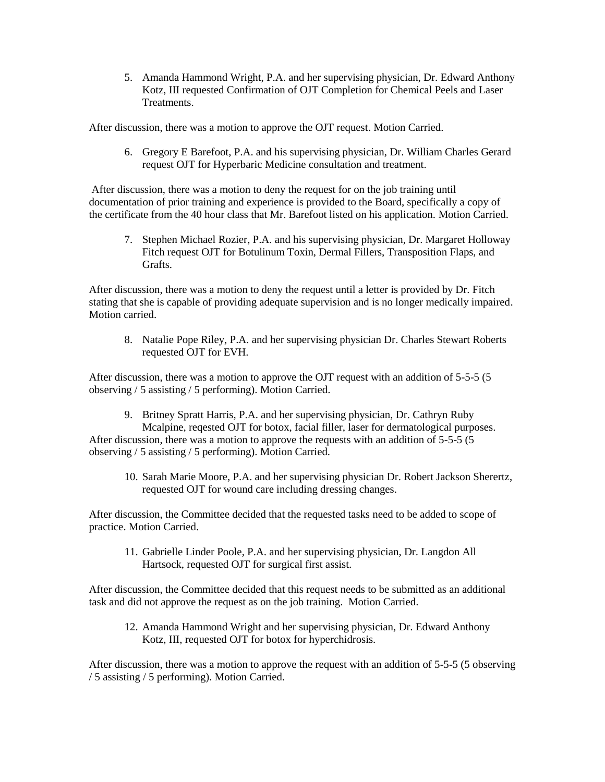5. Amanda Hammond Wright, P.A. and her supervising physician, Dr. Edward Anthony Kotz, III requested Confirmation of OJT Completion for Chemical Peels and Laser Treatments.

After discussion, there was a motion to approve the OJT request. Motion Carried.

6. Gregory E Barefoot, P.A. and his supervising physician, Dr. William Charles Gerard request OJT for Hyperbaric Medicine consultation and treatment.

After discussion, there was a motion to deny the request for on the job training until documentation of prior training and experience is provided to the Board, specifically a copy of the certificate from the 40 hour class that Mr. Barefoot listed on his application. Motion Carried.

7. Stephen Michael Rozier, P.A. and his supervising physician, Dr. Margaret Holloway Fitch request OJT for Botulinum Toxin, Dermal Fillers, Transposition Flaps, and Grafts.

After discussion, there was a motion to deny the request until a letter is provided by Dr. Fitch stating that she is capable of providing adequate supervision and is no longer medically impaired. Motion carried.

8. Natalie Pope Riley, P.A. and her supervising physician Dr. Charles Stewart Roberts requested OJT for EVH.

After discussion, there was a motion to approve the OJT request with an addition of 5-5-5 (5 observing / 5 assisting / 5 performing). Motion Carried.

- 9. Britney Spratt Harris, P.A. and her supervising physician, Dr. Cathryn Ruby Mcalpine, reqested OJT for botox, facial filler, laser for dermatological purposes. After discussion, there was a motion to approve the requests with an addition of 5-5-5 (5 observing / 5 assisting / 5 performing). Motion Carried.
	- 10. Sarah Marie Moore, P.A. and her supervising physician Dr. Robert Jackson Sherertz, requested OJT for wound care including dressing changes.

After discussion, the Committee decided that the requested tasks need to be added to scope of practice. Motion Carried.

11. Gabrielle Linder Poole, P.A. and her supervising physician, Dr. Langdon All Hartsock, requested OJT for surgical first assist.

After discussion, the Committee decided that this request needs to be submitted as an additional task and did not approve the request as on the job training. Motion Carried.

12. Amanda Hammond Wright and her supervising physician, Dr. Edward Anthony Kotz, III, requested OJT for botox for hyperchidrosis.

After discussion, there was a motion to approve the request with an addition of 5-5-5 (5 observing / 5 assisting / 5 performing). Motion Carried.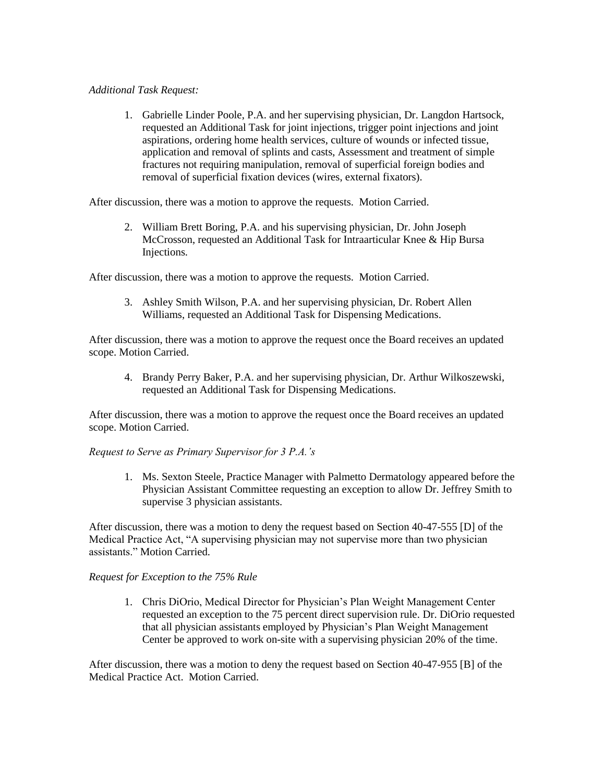#### *Additional Task Request:*

1. Gabrielle Linder Poole, P.A. and her supervising physician, Dr. Langdon Hartsock, requested an Additional Task for joint injections, trigger point injections and joint aspirations, ordering home health services, culture of wounds or infected tissue, application and removal of splints and casts, Assessment and treatment of simple fractures not requiring manipulation, removal of superficial foreign bodies and removal of superficial fixation devices (wires, external fixators).

After discussion, there was a motion to approve the requests. Motion Carried.

2. William Brett Boring, P.A. and his supervising physician, Dr. John Joseph McCrosson, requested an Additional Task for Intraarticular Knee & Hip Bursa Injections.

After discussion, there was a motion to approve the requests. Motion Carried.

3. Ashley Smith Wilson, P.A. and her supervising physician, Dr. Robert Allen Williams, requested an Additional Task for Dispensing Medications.

After discussion, there was a motion to approve the request once the Board receives an updated scope. Motion Carried.

4. Brandy Perry Baker, P.A. and her supervising physician, Dr. Arthur Wilkoszewski, requested an Additional Task for Dispensing Medications.

After discussion, there was a motion to approve the request once the Board receives an updated scope. Motion Carried.

#### *Request to Serve as Primary Supervisor for 3 P.A.'s*

1. Ms. Sexton Steele, Practice Manager with Palmetto Dermatology appeared before the Physician Assistant Committee requesting an exception to allow Dr. Jeffrey Smith to supervise 3 physician assistants.

After discussion, there was a motion to deny the request based on Section 40-47-555 [D] of the Medical Practice Act, "A supervising physician may not supervise more than two physician assistants." Motion Carried.

#### *Request for Exception to the 75% Rule*

1. Chris DiOrio, Medical Director for Physician's Plan Weight Management Center requested an exception to the 75 percent direct supervision rule. Dr. DiOrio requested that all physician assistants employed by Physician's Plan Weight Management Center be approved to work on-site with a supervising physician 20% of the time.

After discussion, there was a motion to deny the request based on Section 40-47-955 [B] of the Medical Practice Act. Motion Carried.